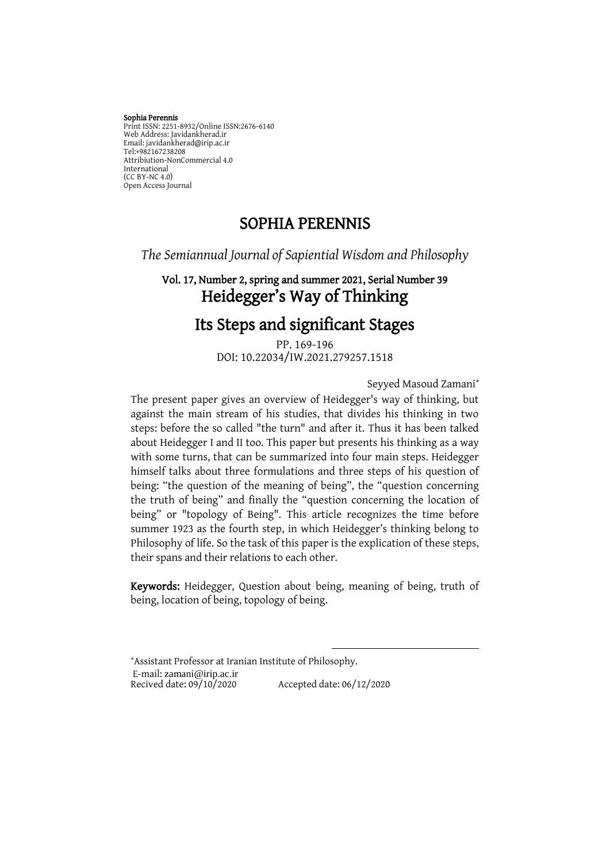#### Sophia Perennis Print ISSN: 2251-8932/Online ISSN:2676-6140 Web Address: Javidankherad.ir Email[: javidankherad@irip.ac.ir](mailto:javidankherad@irip.ac.ir) [Tel:+982167238208](tel:+982167238208) Attribiution-NonCommercial 4.0 International (CC BY-NC 4.0) Open Access Journal

# SOPHIA PERENNIS

*The Semiannual Journal of Sapiential Wisdom and Philosophy*

# Vol. 17, Number 2, spring and summer 2021, Serial Number 39 Heidegger's Way of Thinking

# Its Steps and significant Stages

PP. 169-196 DOI: 10.22034/IW.2021.279257.1518

Seyyed Masoud Zamani

The present paper gives an overview of Heidegger's way of thinking, but against the main stream of his studies, that divides his thinking in two steps: before the so called "the turn" and after it. Thus it has been talked about Heidegger I and II too. This paper but presents his thinking as a way with some turns, that can be summarized into four main steps. Heidegger himself talks about three formulations and three steps of his question of being: "the question of the meaning of being", the "question concerning the truth of being" and finally the "question concerning the location of being" or "topology of Being". This article recognizes the time before summer 1923 as the fourth step, in which Heidegger's thinking belong to Philosophy of life. So the task of this paper is the explication of these steps, their spans and their relations to each other.

Keywords: Heidegger, Question about being, meaning of being, truth of being, location of being, topology of being.

 $\overline{a}$ 

Assistant Professor at Iranian Institute of Philosophy. E-mail: zamani@irip.ac.ir<br>Recived date: 09/10/2020 Accepted date: 06/12/2020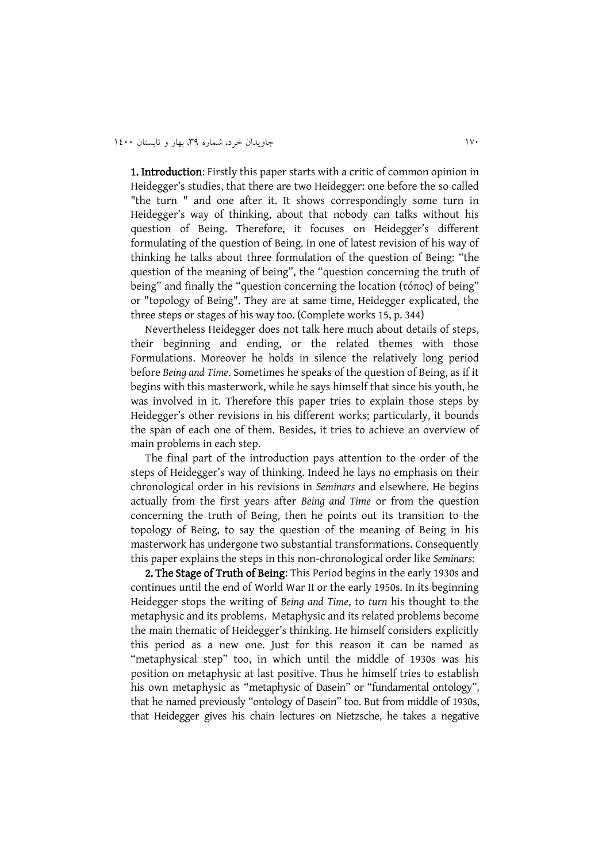1. Introduction: Firstly this paper starts with a critic of common opinion in Heidegger's studies, that there are two Heidegger: one before the so called "the turn " and one after it. It shows correspondingly some turn in Heidegger's way of thinking, about that nobody can talks without his question of Being. Therefore, it focuses on Heidegger's different formulating of the question of Being. In one of latest revision of his way of thinking he talks about three formulation of the question of Being: "the question of the meaning of being", the "question concerning the truth of being" and finally the "question concerning the location (τόπος) of being" or "topology of Being". They are at same time, Heidegger explicated, the three steps or stages of his way too. (Complete works 15, p. 344)

Nevertheless Heidegger does not talk here much about details of steps, their beginning and ending, or the related themes with those Formulations. Moreover he holds in silence the relatively long period before *Being and Time*. Sometimes he speaks of the question of Being, as if it begins with this masterwork, while he says himself that since his youth, he was involved in it. Therefore this paper tries to explain those steps by Heidegger's other revisions in his different works; particularly, it bounds the span of each one of them. Besides, it tries to achieve an overview of main problems in each step.

The final part of the introduction pays attention to the order of the steps of Heidegger's way of thinking. Indeed he lays no emphasis on their chronological order in his revisions in *Seminars* and elsewhere. He begins actually from the first years after *Being and Time* or from the question concerning the truth of Being, then he points out its transition to the topology of Being, to say the question of the meaning of Being in his masterwork has undergone two substantial transformations. Consequently this paper explains the steps in this non-chronological order like *Seminars*:

2. The Stage of Truth of Being: This Period begins in the early 1930s and continues until the end of World War II or the early 1950s. In its beginning Heidegger stops the writing of *Being and Time*, to *turn* his thought to the metaphysic and its problems. Metaphysic and its related problems become the main thematic of Heidegger's thinking. He himself considers explicitly this period as a new one. Just for this reason it can be named as "metaphysical step" too, in which until the middle of 1930s was his position on metaphysic at last positive. Thus he himself tries to establish his own metaphysic as "metaphysic of Dasein" or "fundamental ontology", that he named previously "ontology of Dasein" too. But from middle of 1930s, that Heidegger gives his chain lectures on Nietzsche, he takes a negative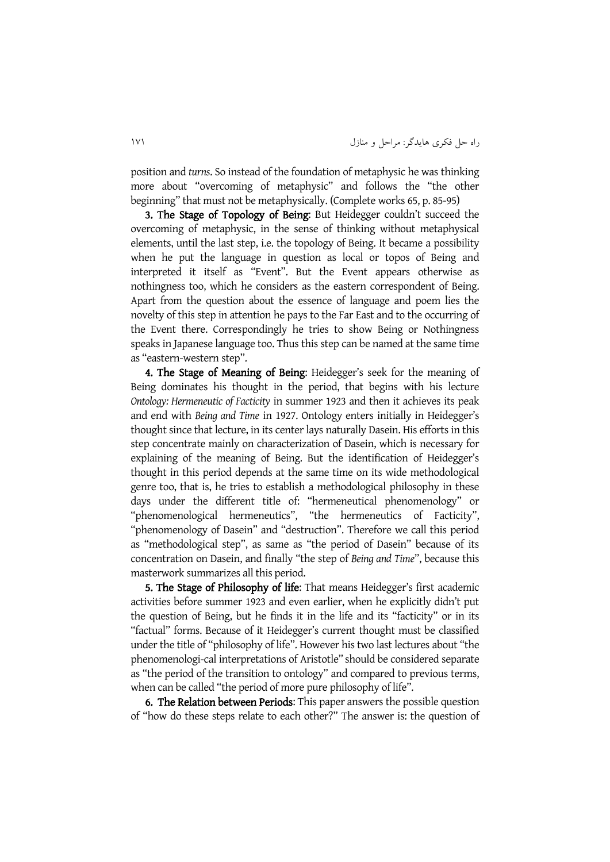position and *turns*. So instead of the foundation of metaphysic he was thinking more about "overcoming of metaphysic" and follows the "the other beginning" that must not be metaphysically. (Complete works 65, p. 85-95)

3. The Stage of Topology of Being: But Heidegger couldn't succeed the overcoming of metaphysic, in the sense of thinking without metaphysical elements, until the last step, i.e. the topology of Being. It became a possibility when he put the language in question as local or topos of Being and interpreted it itself as "Event". But the Event appears otherwise as nothingness too, which he considers as the eastern correspondent of Being. Apart from the question about the essence of language and poem lies the novelty of this step in attention he pays to the Far East and to the occurring of the Event there. Correspondingly he tries to show Being or Nothingness speaks in Japanese language too. Thus this step can be named at the same time as "eastern-western step".

4. The Stage of Meaning of Being: Heidegger's seek for the meaning of Being dominates his thought in the period, that begins with his lecture *Ontology: Hermeneutic of Facticity* in summer 1923 and then it achieves its peak and end with *Being and Time* in 1927. Ontology enters initially in Heidegger's thought since that lecture, in its center lays naturally Dasein. His efforts in this step concentrate mainly on characterization of Dasein, which is necessary for explaining of the meaning of Being. But the identification of Heidegger's thought in this period depends at the same time on its wide methodological genre too, that is, he tries to establish a methodological philosophy in these days under the different title of: "hermeneutical phenomenology" or "phenomenological hermeneutics", "the hermeneutics of Facticity", "phenomenology of Dasein" and "destruction". Therefore we call this period as "methodological step", as same as "the period of Dasein" because of its concentration on Dasein, and finally "the step of *Being and Time*", because this masterwork summarizes all this period.

5. The Stage of Philosophy of life: That means Heidegger's first academic activities before summer 1923 and even earlier, when he explicitly didn't put the question of Being, but he finds it in the life and its "facticity" or in its "factual" forms. Because of it Heidegger's current thought must be classified under the title of "philosophy of life". However his two last lectures about "the phenomenologi-cal interpretations of Aristotle" should be considered separate as "the period of the transition to ontology" and compared to previous terms, when can be called "the period of more pure philosophy of life".

6. The Relation between Periods: This paper answers the possible question of "how do these steps relate to each other?" The answer is: the question of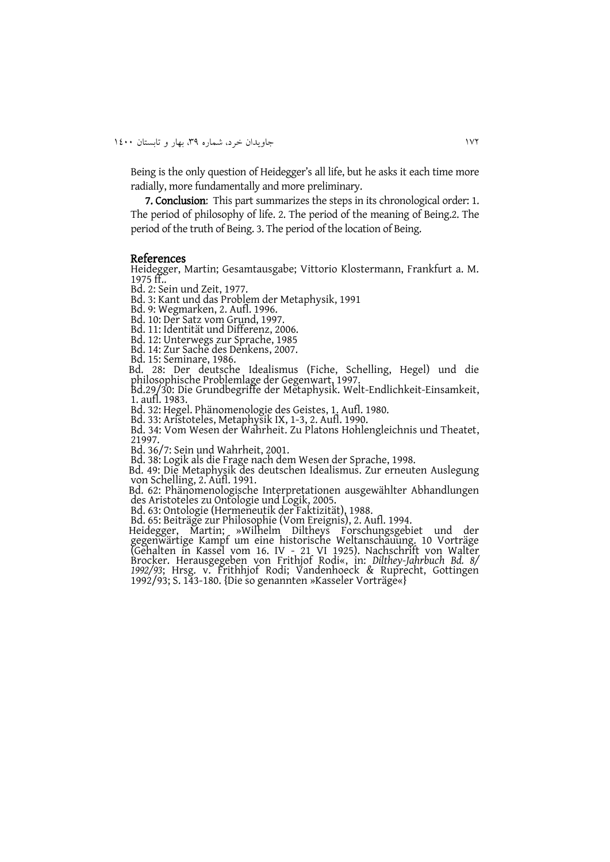Being is the only question of Heidegger's all life, but he asks it each time more radially, more fundamentally and more preliminary.

7. Conclusion: This part summarizes the steps in its chronological order: 1. The period of philosophy of life. 2. The period of the meaning of Being.2. The period of the truth of Being. 3. The period of the location of Being.

#### References

Heidegger, Martin; Gesamtausgabe; Vittorio Klostermann, Frankfurt a. M. 1975 ff..

Bd. 2: Sein und Zeit, 1977.

Bd. 3: Kant und das Problem der Metaphysik, 1991

Bd. 9: Wegmarken, 2. Aufl. 1996.

Bd. 10: Der Satz vom Grund, 1997.

Bd. 11: Identität und Differenz, 2006.

Bd. 12: Unterwegs zur Sprache, 1985

Bd. 14: Zur Sache des Denkens, 2007.

Bd. 15: Seminare, 1986.

 Bd. 28: Der deutsche Idealismus (Fiche, Schelling, Hegel) und die philosophische Problemlage der Gegenwart, 1997.

Bd.29/30: Die Grundbegriffe der Metaphysik. Welt-Endlichkeit-Einsamkeit, 1. aufl. 1983.

Bd. 32: Hegel. Phänomenologie des Geistes, 1. Aufl. 1980.

Bd. 33: Aristoteles, Metaphysik IX, 1-3, 2. Aufl. 1990.

Bd. 34: Vom Wesen der Wahrheit. Zu Platons Hohlengleichnis und Theatet, 21997.

Bd. 36/7: Sein und Wahrheit, 2001.

Bd. 38: Logik als die Frage nach dem Wesen der Sprache, 1998.

 Bd. 49: Die Metaphysik des deutschen Idealismus. Zur erneuten Auslegung von Schelling, 2. Aufl. 1991.

 Bd. 62: Phänomenologische Interpretationen ausgewählter Abhandlungen des Aristoteles zu Ontologie und Logik, 2005.

Bd. 63: Ontologie (Hermeneutik der Faktizität), 1988.

Bd. 65: Beiträge zur Philosophie (Vom Ereignis), 2. Aufl. 1994.

 Heidegger, Martin; »Wilhelm Diltheys Forschungsgebiet und der gegenwärtige Kampf um eine historische Weltanschauung. 10 Vorträge (Gehalten in Kassel vom 16. IV - 21 VI 1925). Nachschrift von Walter Brocker. Herausgegeben von Frithjof Rodi«, in: *Dilthey-Jahrbuch Bd. 8/ 1992/93*; Hrsg. v. Frithhjof Rodi; Vandenhoeck & Ruprecht, Gottingen 1992/93; S. 143-180. {Die so genannten »Kasseler Vorträge«}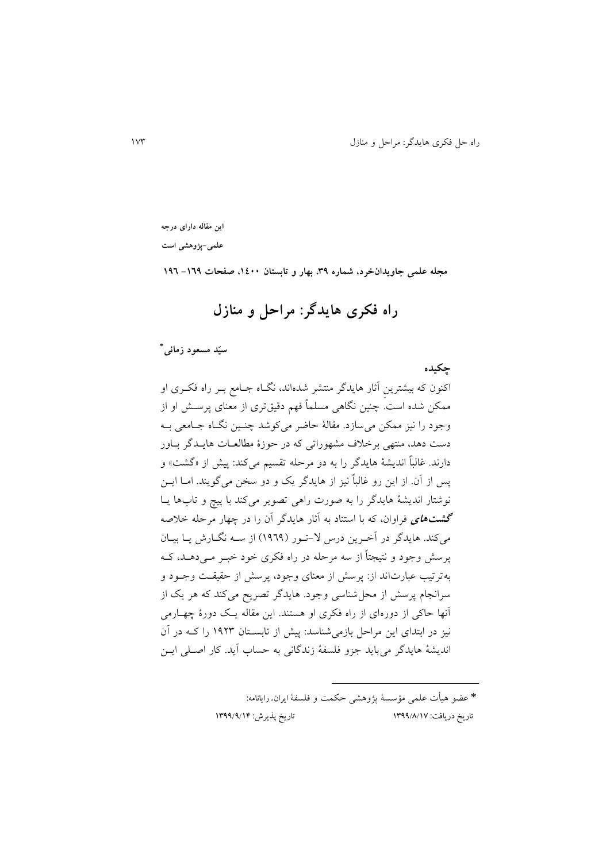**این مقاله دارای درجه** 

**علمی-پژوهشی است**

**مجله علمی جاویدانخرد، شماره ،93 بهار و تابستان ،0011 صفحات -063 036**

# **راه فکری هایدگر: مراحل و منازل**

**\* سیّد مسعود زمانی**

**چکیده** اکنون که بیشترينِ آثار هايدگر منتشر شدهاند، نگااه جاامب بار راه فکاری او ممکن شده است. چنین نگاهی مسلماً فهم دقیقتری از معنای پرسا او از وجود را نیز ممکن می سازد. مقالۀ حاضر میکوشد چنـین نگـاه جـامعی بـه دست دهد، منتهی برخلاف مشهوراتی که در حوزۀ مطالعــات هايــدگر بــاور دارند. غالباً اندیشۀ هایدگر را به دو مرحله تقسیم میکند: پیش از «گشت» و پس از آن. از اين رو غالباً نیز از هايدگر يک و دو سخن میگويند. اماا ايان نوشتار انديشۀ هايدگر را به صور راهی تصوير میکند با پیچ و تابها ياا **گشتهای** فراوان، که با استناد به آثار هايدگر آن را در چهار مرحله خالصه میکند. هايدگر در آخرين درس لا-تـور (١٩٦٩) از سـه نگـارش يـا بيـان پرسش وجود و نتیجتاً از سه مرحله در راه فکری خود خبـر مـی۵هـد، کـه بهترتیب عبارتاند از: پرسش از معنای وجود، پرسش از حقیقت وجـود و سرانجام پرسش از محل شناسی وجود. هايدگر تصريح میکند که هر يک از آنها حاکی از دورهای از راه فکری او هستند. اين مقاله ياک دورۀ چهاارمی نیز در ابتدای این مراحل بازمی شناسد: پیش از تابسـتان ۱۹۲۳ را کـه در آن انديشۀ هايدگر میبايد جزو فلسفۀ زندگانی به حساب آيد. کار اصالی ايان

> \* عضو هیأ علمی مؤسسۀ پژوهشی حکمت و فلسفۀایران. رایانامه: تاریخ دریافت: 7911/8/71 تاریخ پذیرش: 7911/1/71

 $\overline{a}$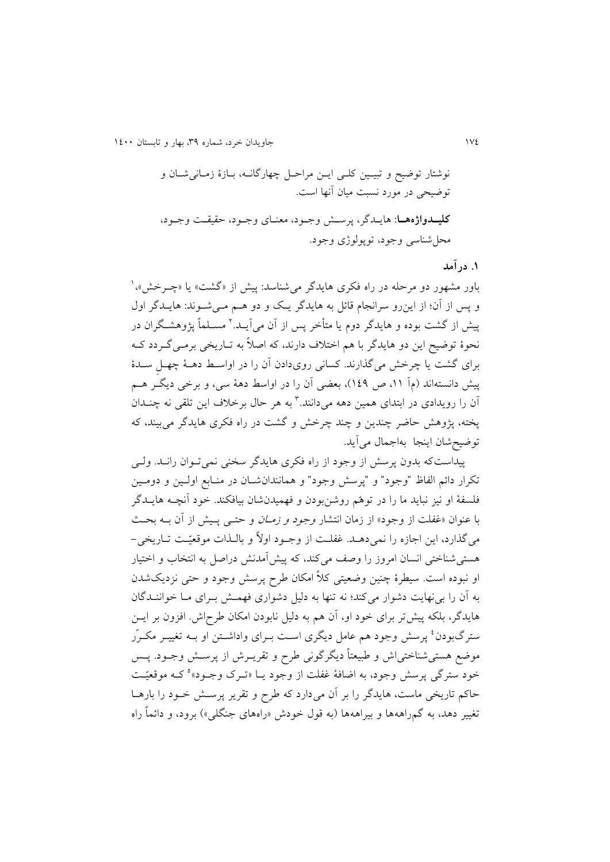نوشتار توضیح و تبیاین کلای ايان مراحال چهارگاناه، باازۀ زماانی شاان و توضیحی در مورد نسبت میان آنها است. **کلیددوا ههدا**: هايادگر، پرسا وجاود، معناای وجاود، حقیقات وجاود، محلشناسی وجود، توپولوژی وجود.

**.0 درآمد** 

باور مشهور دو مرحله در راه فکری هايدگر میشناسد: پیش از «گشت» يا «چــرخش»، <sup>(</sup> و پس از آن؛ از اين رو سرانجام قائل به هايدگر يك و دو هـم مـیشـوند: هايـدگر اول پیش از گشت بوده و هايدگر دوم يا متأخر پس از آن میlيـد.' مســلماً پژوهشــگران در نحوۀ توضیح اين دو هايدگر با هم اختلاف دارند، که اصلاً به تــاريخی برمــی گــردد کــه برای گشت يا چرخش میگذارند. کسانی رویدادن آن را در اواسط دهـۀ چهـلِ سـدۀ پیش دانستهاند (مآ ۱۱، ص ۱٤۹)، بعضی آن را در اواسط دهۀ سی، و برخی دیگـر هـم ان را رویدادی در ابتدای همین دهه میدانند.<sup>۲</sup> به هر حال برخلاف این تلقی نه چنــدان پخته، پژوهش حاضر چندين و چند چرخش و گشت در راه فکری هايدگر می بيند، که توضیحشان اينجا بهاجمال میآيد.

پیداستکه بدون پرسش از وجود از راه فکری هایدگر سخنی نمیتوان رانـد. ولـی تکرار دائم الفاظ "وجود" و "پرسش وجود" و همانندان شان در منـابع اولـین و دومـین فلسفۀ او نیز نبايد ما را در توهّم روشنبودن و فهمیدنشان بیافکند. خود آنچاه هايادگر با عنوان «غفلت از وجود» از زمان انتشار *وجود و زمـان* و حتــی پــیش از آن بــه بحــث می گذارد، اين اجازه را نمی دهـد. غفلـت از وجـود اولاً و بالـذات موقعیّـت تــاريخی – هستی شناختی انسان امروز را وصف میکند، که پیش آمدنش دراصل به انتخاب و اختیار او نبوده است. سیطرۀ چنین وضعیتی کلاً امکان طرح پرسش وجود و حتی نزدیکشدن به آن را بی نهایت دشوار میکند؛ نه تنها به دلیل دشواری فهمش بـرای مـا خواننـدگان هايدگر، بلکه پيش تر برای خود او، آن هم به دليل نابودن امکان طرح|ش. افزون بر ايــن سترگبودن<sup>،</sup> پرسش وجود هم عامل دیگری است بــرای واداشــتن او بــه تغییــر مکــرُر موضع هستی شناختی|ش و طبیعتاً دیگرگونی طرح و تقریــرش از پرســش وجــود. پــس خود سترگی پرسش وجود، به اضافۀ غفلت از وجود یــا «تــرک وجــود»° کــه موقعیّــت حاکم تاريخی ماست، هايدگر را بر آن میدارد که طرح و تقرير پرسـش خــود را بارهــا تغییر دهد، به گمراههها و بیراههها (به قول خودش «راههای جنگلی») برود، و دائماً راه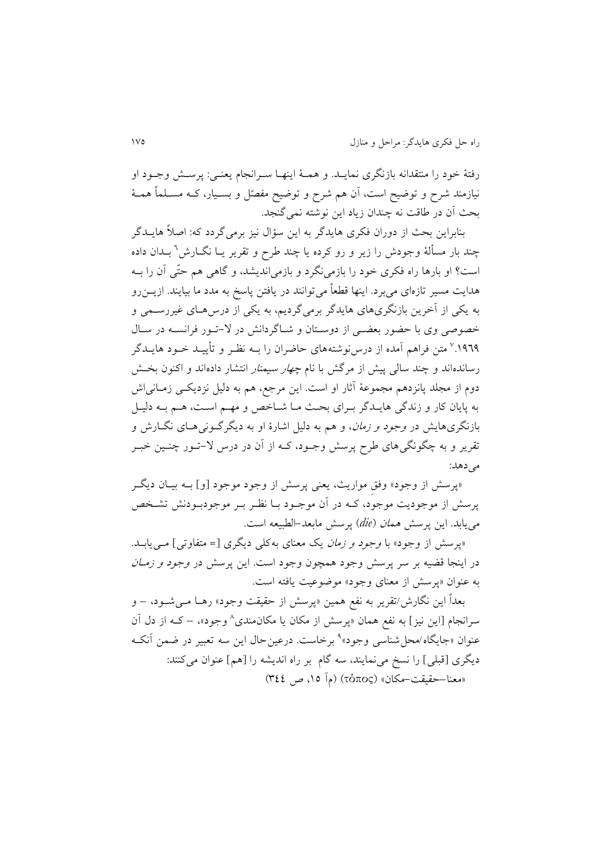رفتۀ خود را منتقدانه بازنگری نمايــد. و همــۀ اينهــا ســرانجام يعنــي: پرســش وجــود او نیازمند شرح و توضیح است، آن هم شرح و توضیح مفصّل و بسـیار، کــه مســلماً همــهٔ بحث آن در طاقت نه چندان زياد اين نوشته نمي گنجد.

بنابراين بحث از دوران فکری هايدگر به اين سؤال نيز برمیگردد که: اصلاً هايــدگر چند بار مسألۀ وجودش را زير و رو کرده يا چند طرح و تقرير يــا نگــارش<sup>٦</sup> بــدان داده است؟ او بارها راه فکری خود را بازمی نگرد و بازمی|ندیشد، و گاهی هم حتّی آن را بــه هدايت مسیر تازهای میبرد. اينها قطعاً میتوانند در يافتن پاسخ به مدد ما بیايند. ازيان رو به يکی از آخرين بازنگریهای هايدگر برمیگرديم، به يکی از در هاای غیررسامی و خصوصی وی با حضور بعضبی از دوستان و شاگردانش در لا-تـور فرانسـه در سـال ۱۹٦۹.<sup>۷</sup> متن فراهم امده از درسiوشتههای حاضران را بــه نظـر و تأييــد خــود هايــدگر رساندهاند و چند سالی پیش از مرگش با نام *چهار سیمنار* انتشار دادهاند و اکنون بخـش دوم از مجلد پانزدهم مجموعۀ آثار او است. اين مرجع، هم به دليل نزديکــی زمــانی|ش به پايان کار و زندگی هايـدگر بـرای بحـث مـا شـاخص و مهـم اسـت، هـم بـه دليـل بازنگریهايش در *وجود و زمان*، و هم به دليل اشارۀ او به ديگرگـونی۵حـای نگــارش و تقرير و به چگونگیهای طرح پرسش وجـود، کــه از آن در درس لا–تــور چنــين خبــر می دهد:

«پرسش از وجود» وفق مواريث، يعنی پرسش از وجود موجود [و] بــه بيــان ديگــر پرسش از موجوديت موجود، کـه در آن موجــود بــا نظـر بــر موجودبــودنش تشــخص میيابد. اين پرس همان *die* )پرس مابعد-الطبیعه است.

«پرسش از وجود» با *وجود و زمان* يک معنای بهکلی ديگری [= متفاوتی] مے يابـد. در اينجا قضيه بر سر پرسش وجود همچون وجود است. اين پرسش در *وجود و زمـان* به عنوان »پرس از معنای وجود« موضوعیت يافته است.

بعداً اين نگارش/تقرير به نفع همين «پرسش از حقیقت وجود» رهـا مـیشـود، – و سرانجام [اين نيز] به نفع همان «پرسش از مکان يا مکان0مندی^ وجود»، – کــه از دل آن عنوان «جايگاه/محل¢شناسی وجود»<sup>ه</sup> برخاست. درعينحال اين سه تعبير در ضمن آنکــه ديگری [قبلی] را نسخ می نمايند، سه گام بر راه انديشه را [هم] عنوان میکنند: «معنا–حقیقت-مکان» (τόπος) (مآ ۱۵، ص ۳٤٤)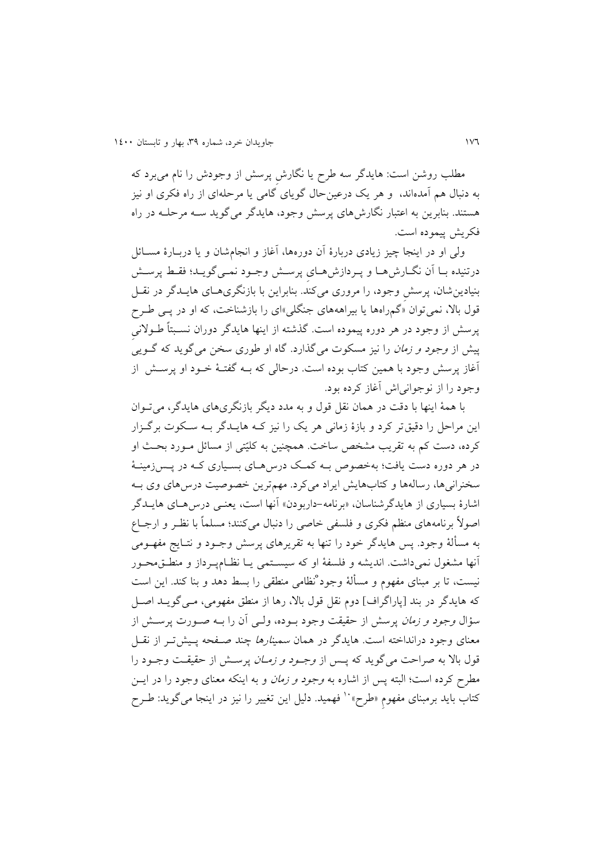مطلب روشن است: هایدگر سه طرح یا نگارش پرسش از وجودش را نام می برد که به دنبال هم آمدهاند، و هر يک درعینحال گويای گامی يا مرحلهای از راه فکری او نیز هستند. بنابرين به اعتبار نگارش های پرسش وجود، هايدگر می گويد سـه مرحلـه در راه فکريش پيموده است.

ولی او در اينجا چیز زيادی دربارۀ آن دورهها، آغاز و انجامشان و يا درباارۀ مساائل درتنیده بـا آن نگـارش هـا و پـردازش هـای پرسـش وجـود نمـی گويـد؛ فقـط پرسـش بنیادينشان، پرس ِ وجود، را مروری میکند. بنابراين با بازنگریهاای هايادگر در نقال قول بالا، نمی توان «گمراهها يا بیراهههای جنگلی»ای را بازشناخت، که او در پــی طــرح پرسش از وجود در هر دوره پیموده است. گذشته از اینها هایدگر دوران نسـبتاً طـولانی پیش از *وجود و زمان* را نیز مسکوت میگذارد. گاه او طوری سخن میگوید که گــویی<sup>ً</sup> آغاز پرسش وجود با همین کتاب بوده است. درحالی که بــه گفتــهٔ خــود او پرســش از وجود را از نوجوانیای آغاز کرده بود.

با همۀ اينها با دقت در همان نقل قول و به مدد ديگر بازنگریهای هايدگر، می تــوان اين مراحل را دقیقتر کرد و بازۀ زمانی هر يک را نیز کاه هايادگر باه ساکو برگازار کرده، دست کم به تقريب مشخص ساخت. همچنين به کليّتی از مسائل مـورد بحـث او در هر دوره دست يافت؛ بهخصوص بــه کمـک درس۵مـای بسـياری کــه در پــس;دمينــهٔ سخنرانی ها، رسالهها و کتابهايش ايراد میکرد. مهمترين خصوصيت درس۵های وی بـه اشارۀ بسیاری از هایدگرشناسان، «برنامه-داربودن» آنها است، یعنـی درس۵حـای هایــدگر اصولاً برنامههای منظم فکری و فلسفی خاصی را دنبال میکنند؛ مسلماً با نظر و ارجـاع به مسألۀ وجود. پس هايدگر خود را تنها به تقريرهای پرسش وجــود و نتــايج مفهــومی آنها مشغول نمیداشت. انديشه و فلسفۀ او که سيسـتمی يـا نظـامپـرداز و منطــقمحــور نیست، تا بر مبنای مفهوم و مسألۀ وجود ْنظامی منطقی را بسط دهد و بنا کند. این است که هايدگر در بند [پاراگراف] دوم نقل قول بالا، رها از منطق مفهومی، مـی گويــد اصــل سؤال *وجود و زمان* پرسش از حقیقت وجود بــوده، ولـــی آن را بــه صــورت پرســش از معنای وجود درانداخته است. هایدگر در همان *سمینارها چند صـفحه* پـیشتـر از نقــل قول بالا به صراحت میگوید که پس از *وجـود و زمـان* پرسـش از حقیقـت وجـود را مطرح کرده است؛ البته پس از اشاره به *وجود و زمان* و به اینکه معنای وجود را در ایس کتاب بايد برمبنای مفهوم «طرح» `` فهميد. دليل اين تغيير را نيز در اينجا میگويد: طـرح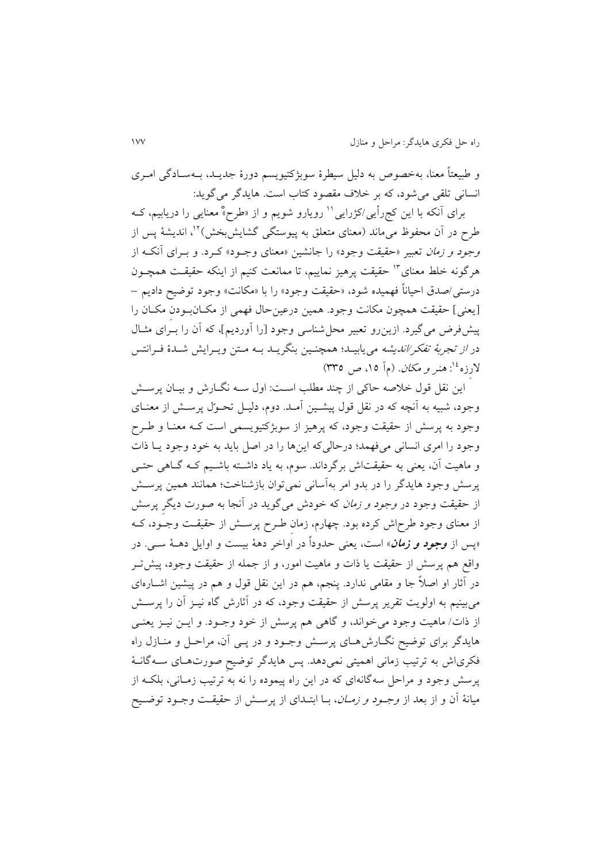و طبیعتاً معنا، بهخصوص به دلیل سیطرۀ سوبژکتیويسم دورۀ جدياد، باه ساادگی اماری انسانی تلقی میشود، که بر خالف مقصود کتاب است. هايدگر میگويد:

برای أنکه با اين کجرأيی/کژرايی'' رويارو شويم و از «طرح»ْ معنايی را دريابيم، کــه طرح در آن محفوظ می•اند (معنای متعلق به پیوستگی گشایشبخش)<sup>۱۲</sup>، اندیشهٔ پس از وج*ود و زمان* تعبیر «حقیقت وجود» را جانشین «معنای وجـود» کـرد. و بـرای آنکـه از هرگونه خلط معنای<sup>۱۳</sup> حقیقت پرهیز نماییم، تا ممانعت کنیم از اینکه حقیقـت همچـون درستی/صدق احیاناً فهمیده شود، »حقیقت وجود« را با »مکانت« وجود توضیح داديم – ]يعنی[ حقیقت همچون مکانت وجود. همین درعینحال فهمی از مکاان باودنِ مکاان را پیش فرض می گیرد. ازین رو تعبیر محل شناسی وجود [را آوردیم]، که آن را بـرای مثـال در *از تجربۀ تفکر/انديشه می*يابيـد؛ همچنـين بنگريــد بــه مــتن ويــرايش شــدۀ فــرانتس لارزه<sup>، ۱</sup>: *هنر و مکان*. (م] ۱۵، ص ۳۳۵)

اين نقل قول خلاصه حاکي از چند مطلب است: اول سـه نگـارش و بيـان پرسـش وجود، شبیه به آنچه که در نقل قول پیشـین آمـد. دوم، دلیـل تحـوّل پرسـش از معنـای وجود به پرسش از حقیقت وجود، که پرهیز از سوبژکتیویسمی است کـه معنـا و طـرح وجود را امری انسانی میفهمد؛ درحالی که اينها را در اصل بايد به خود وجود يـا ذات و ماهیت آن، يعنی به حقیقتاش برگرداند. سوم، به ياد داشته باشـيم کـه گـاهی حتـی پرسش وجود هایدگر را در بدو امر بهآسانی نمیتوان بازشناخت؛ همانند همین پرسش از حقیقت وجود در *وجود و زمان* که خودش میگوید در آنجا به صورت دیگر پرسش از معنای وجود طرح|ش کرده بود. چهارم، زمان طـرح پرسـش از حقیقـت وجــود، کــه »پس از **وجود و زمان**« است، يعنی حدوداً در اواخر دهۀ بیست و اوايل دهاۀ سای. در واقع هم پرسش از حقیقت یا ذات و ماهیت امور، و از جمله از حقیقت وجود، پیش تـر در آثار او اصلاً جا و مقامی ندارد. پنجم، هم در این نقل قول و هم در پیشین اشــارهای میبینیم به اولویت تقریر پرسش از حقیقت وجود، که در آثارش گاه نیــز آن را پرســش از ذات/ ماهیت وجود میخواند، و گاهی هم پرسش از خود وجـود. و ایــن نیــز یعنــی هایدگر برای توضیح نگــارش۱عــای پرســش وجــود و در پــی آن، مراحــل و منــازل راه فکریاش به ترتیب زمانی اهمیتی نمیدهد. پس هایدگر توضیحِ صورتِهـای ســهگانــهٔ پرسش وجود و مراحل سهگانهای که در اين راه پيموده را نه به ترتيب زمـانی، بلکـه از میانۀ آن و از بعد از *وجـود و زمــان*، بــا ابتــدای از پرســش از حقیقــت وجــود توضــيح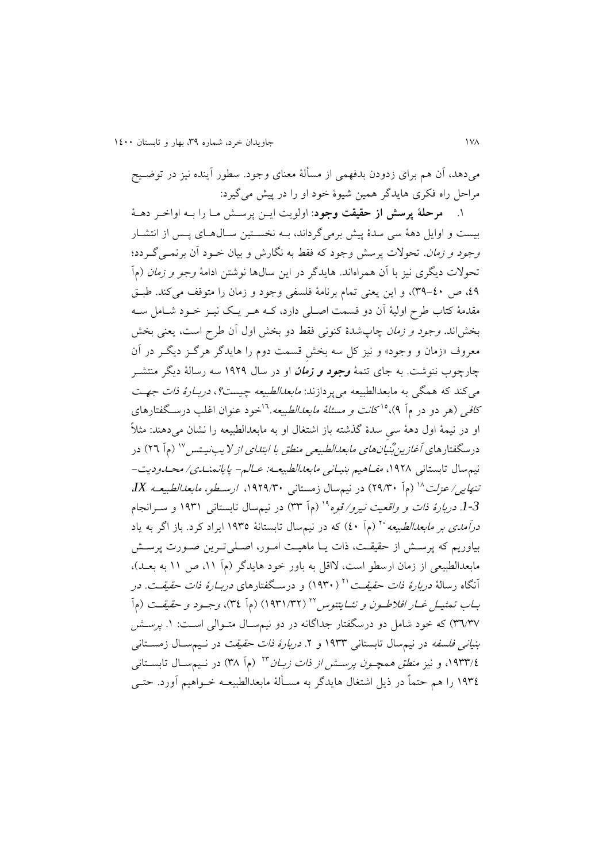میدهد، آن هم برای زدودن بدفهمی از مسألۀ معنای وجود. سطور آينده نیز در توضایح مراحل راه فکری هايدگر همين شيوۀ خود او را در پيش میگيرد:

.0 **مرحلۀ پرسش از حقیقت وجود**: اولويت ايان پرسا ماا را باه اواخار دهاۀ بیست و اوایل دهۀ سی سدۀ پیش برمی گرداند، بـه نخسـتین سـال۱هـای پـس از انتشـار وجود و زم*ان*. تحولات پرسش وجود که فقط به نگارش و بیان خـود آن برنمـی گـردد؛ تحولات ديگری نيز با آن همراهاند. هايدگر در اين سال ها نوشتن ادامۀ *وجو و زمان* (مآ ،03 ص 93-01(، و اين يعنی تمام برنامۀ فلسفی وجود و زمان را متوقف میکند. طباق مقدمۀ کتاب طرح اولیۀ آن دو قسمت اصـلی دارد، کــه هــر يــک نيــز خــود شــامل ســه بخشاند. *وجود و زمان* چاپشدۀ کنونی فقط دو بخش اول اَن طرح است، يعنی بخش معروف «زمان و وجود» و نیز کل سه بخش قسمت دوم را هایدگر هرگـز دیگـر در آن چارچوب ننوشت. به جای تتمۀ **وجود و زمان** او در سال 0313 سه رسالۀ ديگر منتشار می کند که همگی به مابعدالطبیعه میپردازند: *مابعدالطبیعه چیست؟، دربـارهٔ ذات جهـت* ک*افی (ه*ر دو در م۱ ۹)،°<sup>۱ ک</sup>انت *و مسئلهٔ مابعدالطبیعه*.'`خود عنوان اغلب درسـگفتارهای او در نیمۀ اول دهۀ سی سدۀ گذشته باز اشتغال او به مابعدالطبیعه را نشان میدهند: مثلاً درسگفتارهای *آغازین بْنیانهای مابعدالطبیعی منطق با ابتدای از لایبنی*تس<sup>۱۷</sup> (م] ۲۳) در نیم سال تابستانی ۱۹۲۸، *مفـاهیم بنیـانی مابعدالطبیعـه: عـالـم- پايانمنـدی/ محـدوديت*-تن*هايی/عزلت <sup>۱۸</sup> (م*آ ۲۹/۳۰) در نیمسال زمستانی ۱۹۲۹/۳۰، *ارسـطو، مابعدالطبیعـه IX*، 1-3*. دربارۀ ذات و واقعیت نیرو/ قوه*°' (م] ۳۳) در نیمسال تابستانی ۱۹۳۱ و ســرانجام در*آمدی بر مابعدالطبیعه* ۲۰ (م1 ٤٠) که در نیمسال تابستانۀ ۱۹۳۵ ایراد کرد. باز اگر به یاد بیاوریم که پرسش از حقیقت، ذات یـا ماهیـت امـور، اصـلی تـرین صـورت پرسـش مابعدالطبیعی از زمان ارسطو است، لااقل به باور خود هایدگر (مآ ۱۱، ص ۱۱ به بعـد)، آنگاه رسالۀ *دربارۀ ذات حقیقــت* `` ( ۱۹۳۰) و درسـگفتارهای *دربـارۀ ذات حقیقــت. در* بـاب تمثيــل *غــار افلاطــون و تئــايتتوس ''*' (١٩٣١/٣٢) (م1ّ ٣٤)، *وجــود و حقيق*ــت (م1ّ ۳٦/٣٧) که خود شامل دو درسگفتار جداگانه در دو نیمسـال متـوالی اسـت: ۱. *پرسـش* بنی*انی فلسفه* در نیمسال تابستانی ۱۹۳۳ و ۲. *دربارۀ ذات حقیقت* در نـیمسـال زمسـتانی ۱۹۳۳/*٤، و نیز منطق همچـون پرســش از ذات زبــان* ۲<sup>۲ (</sup>م1 ۳۸) در نــیمســال تابســتانـی ١٩٣٤ را هم حتماً در ذيل اشتغال هايدگر به مسـألۀ مابعدالطبیعـه خــواهيم آورد. حتــي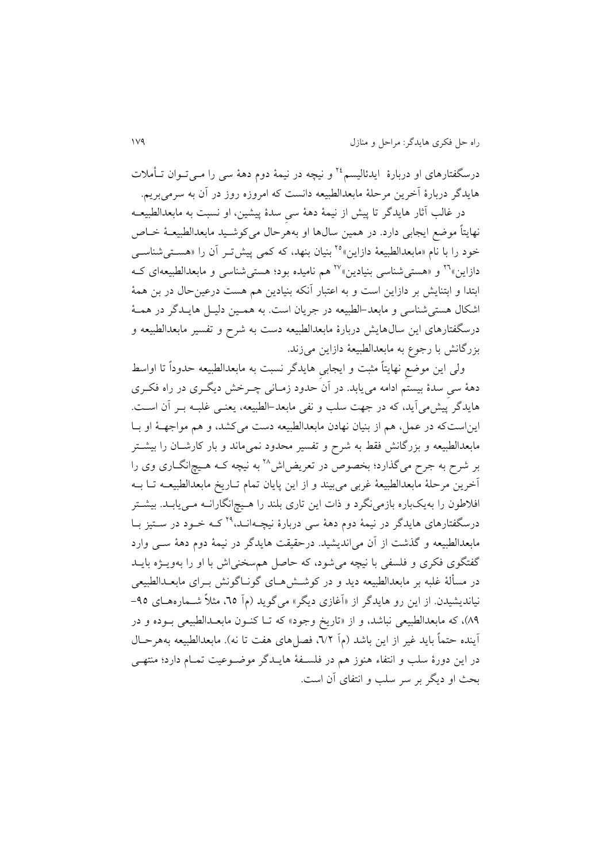درسگفتارهای او دربارۀ ایدئالیسم<sup>۲۶</sup> و نیچه در نیمۀ دوم دهۀ س<sub>ی</sub> را مــیتــوان تــأملات هايدگر دربارۀ آخرين مرحلۀ مابعدالطبیعه دانست که امروزه روز در آن به سرمیبريم.

در غالب آثار هایدگر تا پیش از نیمۀ دهۀ سیِ سدۀ پیشین، او نسبت به مابعدالطبیعــه نهايتاً موضع ايجابی دارد. در همین سالαا او بههرحال میکوشـید مابعدالطبیعـۀ خـاص خود را با نام «مابعدالطبیعۀ دازاین»°٬ بنیان بنهد، که کمی پیش تـر آن را «هسـتـیشناســی دازاین»<sup>۲۱</sup> و «هستی شناسی بنیادین»<sup>۲۰</sup> هم نامیده بود؛ هستی شناسی و مابعدالطبیعهای کــه ابتدا و ابتنايش بر دازاين است و به اعتبار آنکه بنيادين هم هست درعينحال در بن همۀ اشکال هستی شناسی و مابعد-الطبیعه در جریان است. به همـین دلیـل هایـدگر در همـهٔ درسگفتارهای اين سال@ايش دربارۀ مابعدالطبیعه دست به شرح و تفسیر مابعدالطبیعه و بزرگانش با رجوع به مابعدالطبیعۀ دازاین میزند.

ولی اين موضعِ نهايتاً مثبت و ايجابیِ هايدگر نسبت به مابعدالطبیعه حدوداً تا اواسط دهۀ سیِ سدۀ بیستم ادامه می یابد. در آن حدود زمـانی چــرخش دیگــری در راه فکــری هايدگر پيش می آيد، که در جهت سلب و نفی مابعد-الطبيعه، يعنـی غلبـه بـر آن اسـت. ايناستکه در عمل، هم از بنیان نهادن مابعدالطبیعه دست میکشد، و هم مواجهاۀ او باا مابعدالطبیعه و بزرگانش فقط به شرح و تفسیر محدود نمیماند و بار کارشـان را بیشـتر بر شرح به جرح میگذارد؛ بخصوص در تعریض[ش^' به نیچه کـه هـیچ|نگــاری وی را آخرين مرحلۀ مابعدالطبیعۀ غربی میبیند و از اين پايان تمام تااريخ مابعدالطبیعاه تاا باه افلاطون را بهیکباره بازمینگرد و ذات این تاری بلند را هـیچانگارانــه مـییابــد. بیشــتر درسگفتارهای هایدگر در نیمۀ دوم دهۀ سی دربارۀ نیچـهانـد،°٬ کـه خـود در سـتیز بـا مابعدالطبیعه و گذشت از آن میانديشید. درحقیقت هايدگر در نیمۀ دوم دهۀ سای وارد گفتگوی فکری و فلسفی با نیچه میشود، که حاصل همسخنیاش با او را بهویـژه بایــد در مسألۀ غلبه بر مابعدالطبیعه دید و در کوشش های گونـاگونش بـرای مابعـدالطبیعی نیاندیشیدن. از این رو هایدگر از «آغازی دیگر» میگوید (م] <sup>7</sup>0، مثلاً شــمارههـای ۹0-83(، که مابعدالطبیعی نباشد، و از »تاريخ وجود« که تاا کناون مابعادالطبیعی باوده و در آينده حتماً بايد غير از اين باشد (م] ٦/٢، فصل(های هفت تا نه). مابعدالطبیعه بههرحـال در اين دورۀ سلب و انتفاء هنوز هم در فلسافۀ هايادگر موضاوعیت تماام دارد؛ منتهای بحث او ديگر بر سر سلب و انتفاى آن است.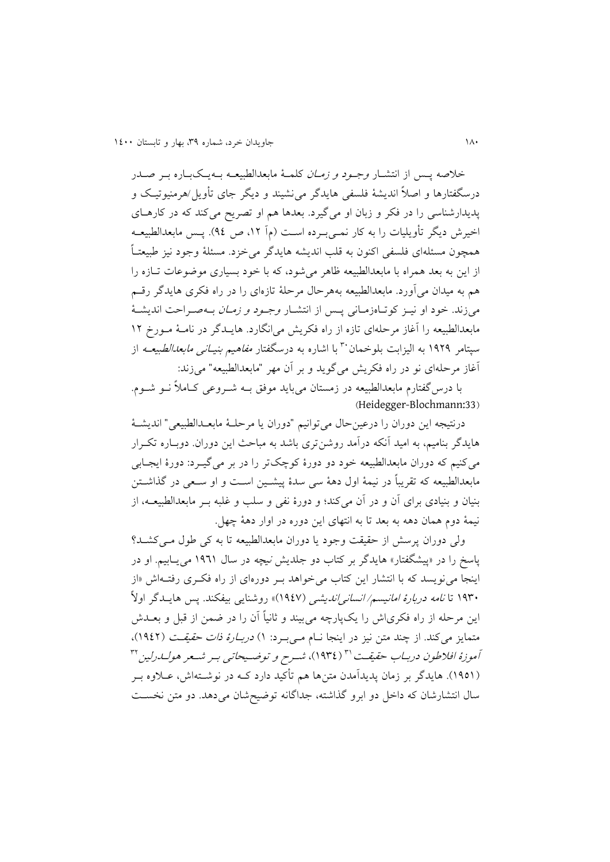خلاصه پس از انتشـار *وجـود و زمـان* کلمـهٔ مابعدالطبیعـه بــهيـکيــاره بــر صــدر درسگفتارها و اصالً انديشۀ فلسفی هايدگر مینشیند و ديگر جای تأويل/هرمنیوتیاک و پديدارشناسی را در فکر و زبان او میگیرد. بعدها هم او تصريح میکند که در کارهاای اخیرش دیگر تأویلیات را به کار نمـیبـرده اسـت (مآ ١٢، ص ٩٤). پـس مابعدالطبیعــه همچون مسئلهای فلسفی اکنون به قلب انديشه هايدگر میخزد. مسئلۀ وجود نیز طبیعتااً از اين به بعد همراه با مابعدالطبيعه ظاهر می شود، که با خود بسياری موضوعات تـازه را هم به میدان میآورد. مابعدالطبیعه بههرحال مرحلۀ تازهای را در راه فکری هايدگر رقام میزند. خود او نیـز کوتـاهزمـانی پـس از انتشـار *وجـود و زمـان* بـهصـراحت انديشـهٔ مابعدالطبیعه را آغاز مرحلهای تازه از راه فکريش می|نگارد. هايـدگر در نامـۀ مـورخ ١٢ سپتامر ۱۹۲۹ به الیزابت بلوخمان ۳۰ با اشاره به درسگفتار *مفاهیم بنیـانی مابعدالطبیعـه* از آغاز مرحلهای نو در راه فکري میگويد و بر آن مهر "مابعدالطبیعه" میزند:

با درس گفتارم مابعدالطبیعه در زمستان میباید موفق بـه شـروعی کـاملاً نـو شـوم. )Heidegger-Blochmann:33

درنتیجه اين دوران را درعینحال میتوانیم "دوران يا مرحلاۀ مابعادالطبیعی " انديشاۀ هايدگر بناميم، به اميد آنکه درآمد روشنتری باشد به مباحث اين دوران. دوبـاره تکـرار میکنیم که دوران مابعدالطبیعه خود دو دورۀ کوچکتر را در بر میگیارد: دورۀ ايجاابی مابعدالطبیعه که تقريباً در نیمۀ اول دهۀ سی سدۀ پیشاین اسات و او ساعی در گذاشاتن بنیان و بنیادی برای آن و در آن میکند؛ و دورۀ نفی و سلب و غلبه بار مابعدالطبیعاه، از نیمۀ دوم همان دهه به بعد تا به انتهای اين دوره در اوار دهۀ چهل.

ولی دوران پرسش از حقیقت وجود یا دوران مابعدالطبیعه تا به کی طول می کشد؟ پاسخ را در «پیشگفتار» هایدگر بر کتاب دو جلدیش *نیچه* در سال ۱۹٦۱ می یـابیم. او در اينجا می $i$ ويسد که با انتشار اين کتاب میخواهد بـر دورهای از راه فکـری رفتــهاش «از ۱۹۳۰ تا *نامه دربارۀ امانیسم/ انسانی اندیشی* (۱۹٤۷)» روشنایی بیفکند. پس هایــدگر اولاً اين مرحله از راه فکری|ش را يکپارچه میبیند و ثانياً آن را در ضمن از قبل و بعــدش متمايز میکند. از چند متن نيز در اينجا نــام مــیبــرد: ۱) *دربــارۀ ذات حقيقــت* (١٩٤٢). آموزهٔ افلاطون دربـاب حقیقـت \" (١٩٣٤)، شــرح و توضــيحاتـى بـر شــعر هولــاـرلين \" (١٩٥١). هايدگر بر زمان پديدآمدن متنها هم تأکيد دارد کــه در نوشــتهاش، عــلاوه بــر سال انتشارشان که داخل دو ابرو گذاشته، جداگانه توضیحشان میدهد. دو متن نخسات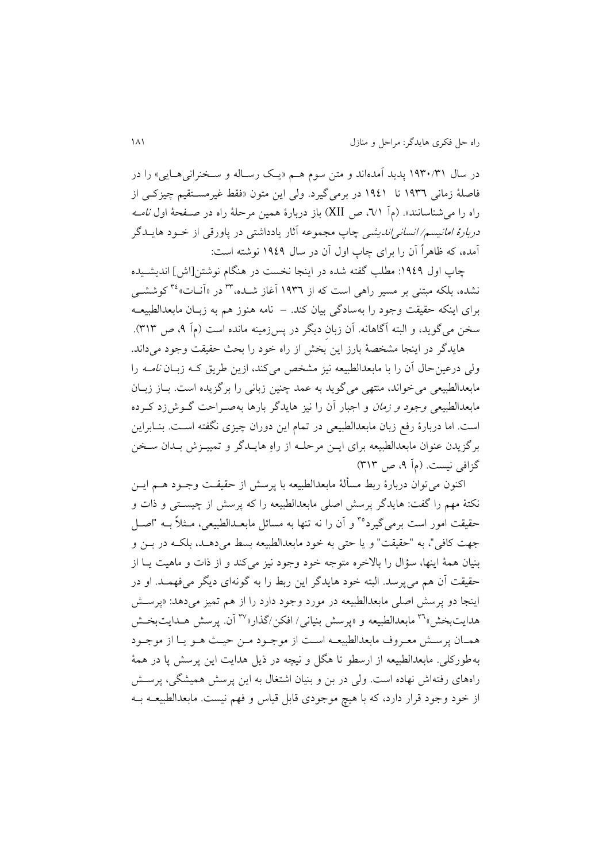در سال ۱۹۳۰/۳۱ پديد آمدهاند و متن سوم هـم «يـک رسـاله و سـخنرانی۵هـايی» را در فاصلۀ زمانی ١٩٣٦ تا ١٩٤١ در برمیگیرد. ولی این متون «فقط غیرمسـتقیم چیزکـی از راه را می شناسانند». (مآ ۰/۱٪، ص XII) باز دربارۀ همین مرحلۀ راه در صـفحۀ اول *نامــه دربارۀ امانیسم/ انسانی اندیشی* چاپ مجموعه آثار یادداشتی در پاورقی از خــود هایــدگر آمده، که ظاهراً آن را برای چاپ اول آن در سال 0303 نوشته است:

چاپ اول ۱۹٤۹: مطلب گفته شده در اينجا نخست در هنگام نوشتن[اش] انديشـيده نشده، بلکه مبتنی بر مسیر راهی است که از ۱۹۳۳ اغاز شــده،''' در «انــات» <sup>۲</sup>' کوششــی برای اينکه حقیقت وجود را بهسادگی بیان کند. – نامه هنوز هم به زباان مابعدالطبیعاه سخن میگوید، و البته آگاهانه. آن زبان دیگر در پس زمینه مانده است (مآ ۹، ص ۳۱۳).

هايدگر در اينجا مشخصۀ بارز اين بخش از راه خود را بحث حقيقت وجود میداند. ولی درعین حال آن را با مابعدالطبیعه نیز مشخص میکند، ازین طریق کـه زبـان *نامـه* را مابعدالطبیعی می خواند، منتهی می گوید به عمد چنین زبانی را بر گزیده است. بــاز زبــان مابعدالطبیعی *وجود و زمان* و اجبار آن را نیز هایدگر بارها بهصـراحت گــوش زد کــرده است. اما دربارۀ رفب زبان مابعدالطبیعی در تمام اين دوران چیزی نگفته اسات. بناابراين برگزيدن عنوان مابعدالطبیعه برای ايـن مرحلـه از راهِ هايـدگر و تمييـزش بـدان سـخن گزافی نیست. (مآ ۹، ص ۳۱۳)

اکنون میتوان دربارۀ ربط مسألۀ مابعدالطبیعه با پرسش از حقیقـت وجــود هـــم ايــن نکتۀ مهم را گفت: هايدگر پرسش اصلي مابعدالطبيعه را که پرسش از چيسـتی و ذات و حقیقت امور است برمی گیرد°۳ و آن را نه تنها به مسائل مابعـدالطبیعی، مـثلاً بــه "اصــل جهت کافی"، به "حقیقت" و یا حتی به خود مابعدالطبیعه بسط می دهـد، بلکـه در بــز و بنیان همۀ اینها، سؤال را بالاخره متوجه خود وجود نیز میکند و از ذات و ماهیت یـا از حقیقت آن هم می پرسد. البته خود هايدگر اين ربط را به گونهای ديگر میفهمـد. او در اينجا دو پرسش اصلي مابعدالطبیعه در مورد وجود دارد را از هم تمیز می دهد: «پرسش هدايتبخش» پاسمدالطبیعه و «پرسش بنيانی/ افکن/گذار» هم ايت بخايتبخش همان پرسش معروف مابعدالطبیعـه است از موجـود مـن حیـث هـو يـا از موجـود بهطورکلی. مابعدالطبیعه از ارسطو تا هگل و نیچه در ذیل هدایت این پرسش پا در همۀ راههای رفتهاش نهاده است. ولی در بن و بنیان اشتغال به این پرسش همیشگی، پرسـش از خود وجود قرار دارد، که با هیچ موجودی قابل قیاس و فهم نیست. مابعدالطبیعــه بــه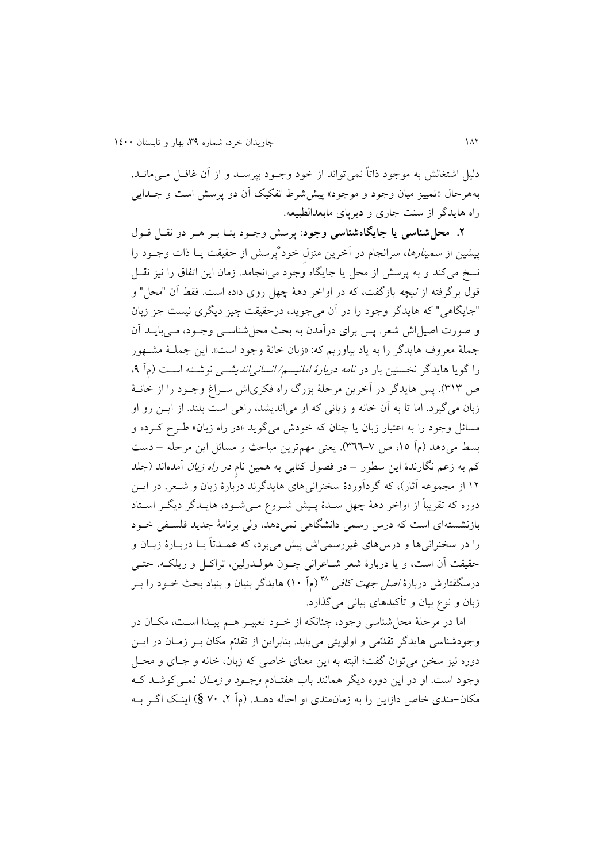دلیل اشتغالش به موجود ذاتاً نمی تواند از خود وجـود بپرسـد و از آن غافـل مـی مانـد. بههرحال «تمییز میان وجود و موجود» پیششرط تفکیک آن دو پرسش است و جـدایبی راه هايدگر از سنت جاری و ديرپای مابعدالطبیعه.

**.2 محلشناسی یا جایگاهشناسی وجود**: پرس وجاود بناا بار هار دو نقال قاول پیشین از *سمینارها*، سرانجام در آخرین منزل خود پرسش از حقیقت یـا ذات وجـود را نسخ میکند و به پرسش از محل يا جايگاه وجود میانجامد. زمان اين اتفاق را نيز نقـل قول برگرفته از *نیچه* بازگفت، که در اواخر دهۀ چهل روی داده است. فقط آن "محل" و "جايگاهی" که هايدگر وجود را در آن میجويد، درحقیقت چیز ديگری نیست جز زبان و صورت اصیل اش شعر. پس برای درآمدن به بحث محل شناســی وجــود، مــی بايــد آن جملۀ معروف هايدگر را به ياد بیاوريم که: »زبان خانۀ وجود است«. اين جملاۀ مشاهور را گويا هايدگر نخستين بار در *نامه دربارۀ امانيسم/ انساني انديشــي* نوشــته اســت (م] ۹، ص ٣١٣). پس هايدگر در آخرين مرحلۀ بزرگ راه فكرىاش سـراغ وجـود را از خانـۀ زبان میگیرد. اما تا به آن خانه و زيانی که او میانديشد، راهی است بلند. از ايان رو او مسائل وجود را به اعتبار زبان يا چنان که خودش میگويد «در راه زبان» طـرح کـرده و بسط میدهد (مآ ۱۵، ص ۷-۳۶٦). يعنی مهمترين مباحث و مسائل اين مرحله – دست کم به زعم نگارندۀ اين سطور – در فصول کتابی به همين نام *در راه زبان* آمدهاند (جلد 01 از مجموعه آثار(، که گردآوردۀ سخنرانیهای هايدگرند دربارۀ زبان و شاعر. در ايان دوره که تقريباً از اواخر دهۀ چهل سـدۀ پـيش شـروع مـيشـود، هايــدگر ديگـر اسـتاد بازنشستهای است که در رسمی دانشگاهی نمیدهد، ولی برنامۀ جديد فلسافی خاود را در سخنرانیها و درسهای غیررسمیاش پیش میبرد، که عمـدتاً یــا دربــارۀ زبــان و حقیقت آن است، و يا دربارۀ شعر شـاعرانی چــون هولــدرلین، تراکــل و ريلکــه. حتــی درسگفتارش دربارهٔ *اصل جهت کافی* ™ (ماً ۱۰) هایدگر بنیان و بنیاد بحث خــود را بــر زبان و نو بیان و تأکیدهای بیانی میگذارد.

اما در مرحلۀ محل شناسی وجود، چنانکه از خـود تعبیــر هــم پیــدا اســت، مکــان در وجودشناسی هايدگر تقدّمی و اولويتی می يابد. بنابراين از تقدّم مکان بـر زمـان در ايـن دوره نیز سخن میتوان گفت؛ البته به اين معنای خاصی که زبان، خانه و جاای و محال وجود است. او در اين دوره ديگر همانند باب هفتـادم *وجـود و زمـان* نمـی کوشــد کــه مکان-مندی خاص دازاين را به زمان مندی او احاله دهـد. (م آ ۲، ۷۰ §) اينـک اگـر بــه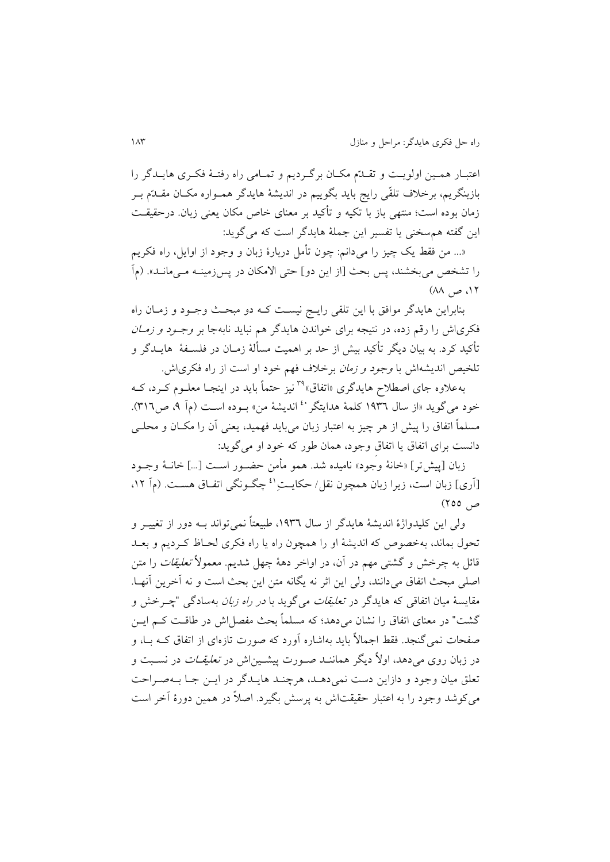اعتبـار همـين اولويـت و تقـلةم مكـان برگـرديم و تمـامی راه رفتـۀ فكـرى هايـلدگر را بازبنگريم، برخلاف تلقّى رايج بايد بگوييم در انديشۀ هايدگر همـواره مکــان مقــدّم بــر زمان بوده است؛ منتهی باز با تکیه و تأکید بر معنای خاص مکان يعنی زبان. درحقیقات اين گفته همسخنی يا تفسیر اين جملۀ هايدگر است که میگويد:

«… من فقط يک چيز را میدانم: چون تأمل دربارۀ زبان و وجود از اوايل، راه فکريم را تشخص می بخشند، پس بحث [از اين دو] حتی الامکان در پس زمينــه مــی مانــد». (مآ ، ص  $\mathcal{M}$  ) ( $\mathcal{M}$ 

بنابراين هايدگر موافق با اين تلقى رايـج نيسـت کـه دو مبحـث وجـود و زمـان راه فکریاش را رقم زده، در نتيجه برای خواندن هايدگر هم نبايد نابهجا بر *وجـود و زمــان* تأکید کرد. به بیان دیگر تأکید بیش از حد بر اهمیت مسألۀ زمـان در فلســفۀ هايــدگر و تلخیص اندیشهاش با *وجود و زمان* برخلاف فهم خود او است از راه فکری اش.

بهعلاوه جای اصطلاح هایدگری «اتفاق»ً<sup>۳۹</sup> نیز حتماً باید در اینجـا معلــوم کــرد، کــه خود مي گويد «از سال ١٩٣٦ كلمۀ هدايتگر<sup>٤٠</sup> انديشۀ من» بـوده اسـت (م] ٩، ص٣١٦). مسلماً اتفاق را پیش از هر چیز به اعتبار زبان میباید فهمید، یعنی آن را مکـان و محلـی دانست برای اتفاق يا اتفاقِ وجود، همان طور که خود او میگويد:

زبان [پیش تر] «خانۀ وجود» نامیده شد. همو مأمن حضـور اسـت […] خانــۀ وجــود [اری] زبان است، زيرا زبان همچون نقل/ حکايـــتـِ<sup>11</sup> چگــونگی اتفــاق هســت. (م۱ ۱۲. ص 155(

ولی اين کليدواژۀ انديشۀ هايدگر از سال ١٩٣٦، طبيعتاً نمی تواند بـه دور از تغييــر و تحول بماند، بهخصوص که انديشۀ او را همچون راه يا راه فکری لحااظ کارديم و بعاد قائل به چرخش و گشتی مهم در آن، در اواخر دهۀ چهل شدیم. معمولاً *تعلیقات* را متن اصلی مبحث اتفاق میدانند، ولی اين اثر نه يگانه متن اين بحث است و نه آخرين آنهـا. مقايسۀ ميان اتفاقی که هايدگر در *تعليقات می گ*ويد با *در راه زبان* بهسادگی "چــرخش و گشت" در معنای اتفاق را نشان می دهد؛ که مسلماً بحث مفصل اش در طاقـت کـم ايــن صفحات نمی گنجد. فقط اجمالاً بايد بهاشاره آورد که صورت تازهای از اتفاق کــه بــا، و در زبان روی میدهد، اولاً دیگر هماننـد صـورت پیشـین|ش در تع*لیقـات* در نســبت و تعلق میان وجود و دازاين دست نمی دهـد، هرچنـد هايـدگر در ايــن جـا بــهصـراحت میکوشد وجود را به اعتبار حقیقتاش به پرسش بگیرد. اصلاً در همین دورۀ آخر است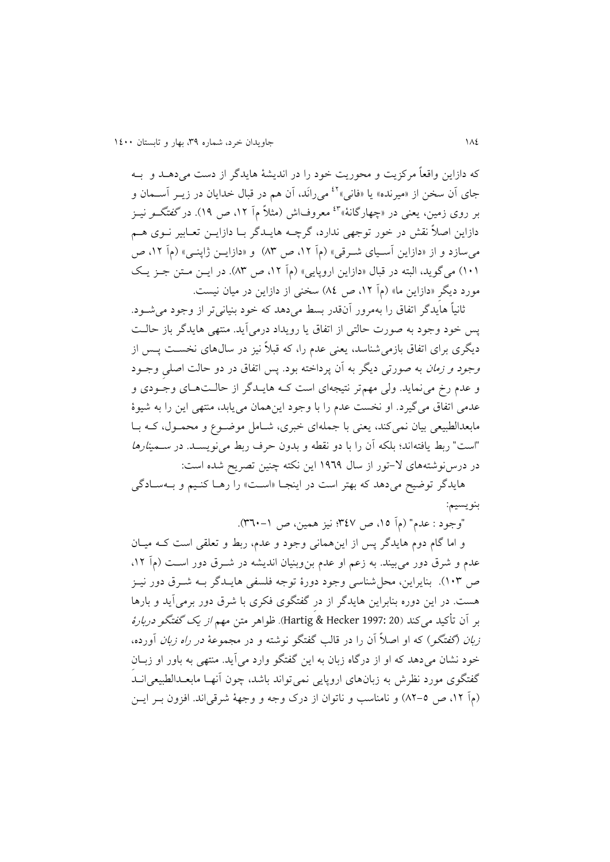که دازاين واقعاً مرکزيت و محوريت خود را در انديشۀ هايدگر از دست میدهاد و باه جای آن سخن از «میرنده» یا «فانی»<sup>٤٢</sup> میرانَد، آن هم در قبال خدایان در زیــر آســمان و بر روی زمین، یعنی در «چهارگانۀ»<sup>۴</sup>\* معروفاش (مثلاً م] ۱۲، ص ۱۹). در *گفتگــو* نیــز دازاين اصلاً نقش در خور توجهی ندارد، گرچــه هايــدگر بــا دازايــن تعــابير نــوی هــم می سازد و از «دازاين آسـيای شـرقی» (مآ ۱۲، ص ۸۳) و «دازايــن ژاپنــی» (مآ ۱۲، ص 010( میگويد، البته در قبال »دازاين اروپايی« مآ ،01 ص 89(. در ايان ماتن جاز ياک مورد ديگرِ «دازاين ما» (مآ ١٢، ص ٨٤) سخنی از دازاين در ميان نيست.

ثانیاً هایدگر اتفاق را بهمرور آنقدر بسط میدهد که خود بنیانیتر از وجود می شود. پس خود وجود به صور حالتی از اتفاق يا رويداد درمیآيد. منتهی هايدگر باز حالات ديگری برای اتفاق بازمیشناسد، يعنی عدم را، که قبلاً نيز در سال0های نخسـت پــس از وجود و زم*ان* به صورتی دیگر به آن پرداخته بود. پس اتفاق در دو حالت اصلی وجـود و عدم ر مینمايد. ولی مهمتر نتیجهای است کاه هايادگر از حالات هاای وجاودی و عدمی اتفاق میگیرد. او نخست عدم را با وجود اينهمان میيابد، منتهی اين را به شیوۀ مابعدالطبیعی بیان نمیکند، یعنی با جملهای خبری، شـامل موضـوع و محمـول، کـه بـا "است" ربط يافتهاند؛ بلکه آن را با دو نقطه و بدون حرف ربط می نويسـد. در *سـمینارها* در درس نوشتههای لا–تور از سال ١٩٦٩ اين نکته چنين تصريح شده است:

هایدگر توضیح میدهد که بهتر است در اینجـا «اسـت» را رهـا کنـیم و بــهسـادگی بنويسیم:

"وجود : عدم" (مآ ١٥، ص ٣٤٧؛ نیز همین، ص ١-٣٦٠).

و اما گام دوم هايدگر پس از اين همانی وجود و عدم، ربط و تعلقی است کـه ميـان عدم و شرق دور میبیند. به زعم او عدم بن۵بنیان اندیشه در شـرق دور اسـت (مآ ۱۲، ص 019(. بنايراين، محلشناسی وجود دورۀ توجه فلسفی هايادگر باه شارق دور نیاز هست. در اين دوره بنابراين هايدگر از درِ گفتگوی فکری با شرق دور برمیآيد و بارها بر آن تأکید میکند 20 1997: Hecker & Hartig). ظواهر متن مهم از يک گفتگو دربارۀ ز*بان (گفتگو) که او اصلاً آن را در قالب گفتگو نوشته و در مجموعۀ در راه زبان آورده*، خود نشان میدهد که او از درگاه زبان به اين گفتگو وارد میآيد. منتهی به باور او زباانِ گفتگوی مورد نظرش به زبانهای اروپايی نمی تواند باشد، چون آنهـا مابعـدالطبیعی انــد (م] ١٢، ص ٥-٨٢) و نامناسب و ناتوان از درک وجه و وجهۀ شرقیاند. افزون بـر ايـن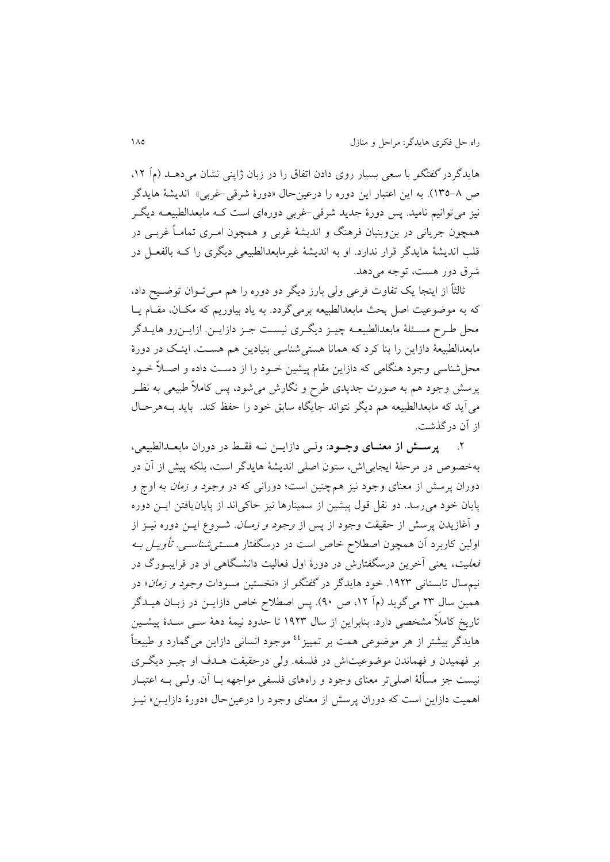هايدگر در گفتگو با سعی بسيار روی دادن اتفاق را در زبان ژاپنی نشان میدهـد (م] ١٢. ص ٨-١٣٥). به اين اعتبار اين دوره را درعينحال «دورۀ شرقي-غربي» انديشۀ هايدگر نیز می توانیم نامید. پس دورۀ جدید شرقی-غربی دورهای است کـه مابعدالطبیعــه دیگــر همچون جريانی در بنوبنیان فرهنگ و انديشۀ غربی و همچون اماری تمامااً غربای در قلب انديشۀ هايدگر قرار ندارد. او به انديشۀ غیرمابعدالطبیعی ديگری را کاه بالفعال در شرق دور هست، توجه می دهد.

ثالثاً از اينجا يک تفاوت فرعی ولی بارز ديگر دو دوره را هم مــیتــوان توضــيح داد، که به موضوعیت اصل بحث مابعدالطبیعه برمیگردد. به یاد بیاوریم که مکـان، مقـام یـا محل طـرح مسـئلۀ مابعدالطبیعــه چیــز ديگــری نیســت جــز دازايــن. ازايــن رو هايــدگر مابعدالطبیعۀ دازاين را بنا کرد که همانا هستیشناسی بنیادين هم هسات. ايناک در دورۀ محل شناسی وجود هنگامی که دازاين مقام پیشین خـود را از دسـت داده و اصــلاً خــود پرسش وجود هم به صورت جدیدی طرح و نگارش میشود، پس کاملاً طبیعی به نظـر میآيد که مابعدالطبیعه هم ديگر نتواند جايگاه سابق خود را حفظ کند. بايد باه هرحاال از آن درگذشت.

.1 **پرسدش از معندای وجدود**: ولای دازايان ناه فقا در دوران مابعادالطبیعی، بهخصوص در مرحلۀ ايجابیای، ستون اصلی انديشۀ هايدگر است، بلکه پی از آن در دوران پرسش از معنای وجود نیز همچنین است؛ دورانی که در *وجود و زمان* به اوج و پايان خود میرسد. دو نقل قول پیشین از سمینارها نیز حاکیاند از پايانيافتن ايان دوره و آغازيدن پرسش از حقيقت وجود از پس از *وجود و زمــان*. شــروع ايــن دوره نيــز از اولین کاربرد آن همچون اصطلاح خاص است در درسگفتار *هسـتـی شناســی. تأویــل بــه* فع*لیت*، يعنی آخرين درسگفتارش در دورۀ اول فعالیت دانشـگاهی او در فرايبــورگ در نیم سال تابستانی ۱۹۲۳. خود هایدگر در *گفتگو* از «نخستین مسودات *وجود و زمان*» در همین سال ۲۳ میگوید (مآ ۱۲، ص ۹۰). پس اصطلاح خاص دازايـن در زبـان هیـدگر تاريخ کامالً مشخصی دارد. بنابراين از سال 0319 تا حدود نیمۀ دهۀ سای سادۀ پیشاین هايدگر بيشتر از هر موضوعی همت بر تمييز <sup>٤٤</sup> موجود انسانی دازاين می گمارد و طبيعتاً بر فهمیدن و فهماندن موضوعیتای در فلسفه. ولی درحقیقت هادف او چیاز ديگاری نیست جز مسألۀ اصلی تر معنای وجود و راههای فلسفی مواجهه بــا آن. ولــی بــه اعتبــار اهمیت دازاین است که دوران پرسش از معنای وجود را درعین حال «دورۀ دازايـن» نيـز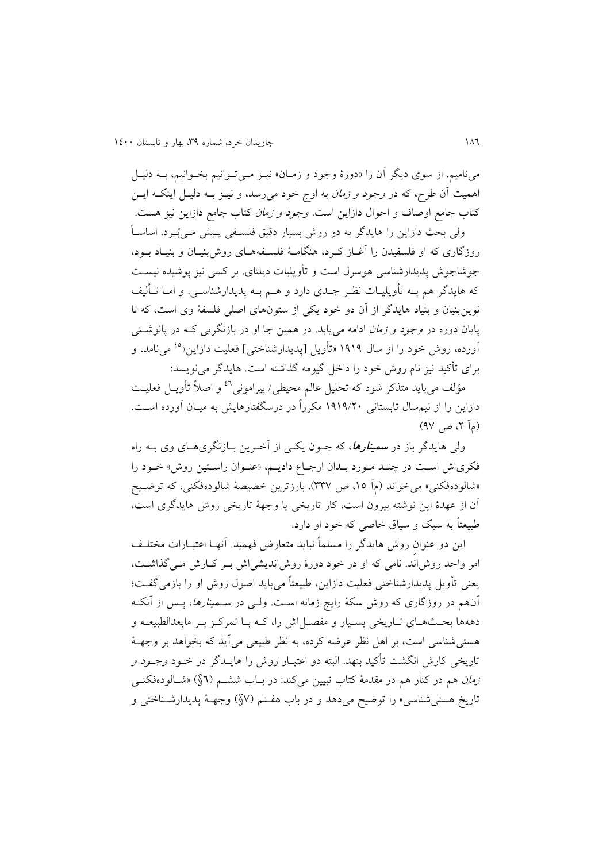می نامیم. از سوی دیگر آن را «دورۀ وجود و زمـان» نیـز مـی تـوانیم بخـوانیم، بـه دلیـل اهمیت آن طرح، که در *وجود و زمان* به اوج خود میرسد، و نیــز بــه دلیــل اینکــه ایــن کتاب جامع اوصاف و احوال دازاين است. *وجود و زمان* کتاب جامع دازاين نيز هست. ولی بحث دازاین را هایدگر به دو روش بسیار دقیق فلسـفی پـیش مـیٔبـرد. اساسـاً

روزگاری که او فلسفیدن را آغــاز کــرد، هنگامــهٔ فلســفههــای روش بنیــان و بنیــاد بــود، جوشاجوش پديدارشناسی هوسرل است و تأويليات ديلتای. بر کسی نيز پوشيده نيسـت که هايدگر هم بــه تأويليــات نظـر جــدی دارد و هــم بــه پديدارشناســی. و امــا تــأليف نوينبنیان و بنیاد هايدگر از آن دو خود يکی از ستونهای اصلی فلسفۀ وی است، که تا پايان دوره در *وجود و زمان* ادامه می پابد. در همین جا او در بازنگري<sub>ی</sub> کــه در پانوشــتی آورده، روش خود را از سال ۱۹۱۹ «تأويل [پديدارشناختی] فعليت دازاين»<sup>ه،</sup> میiامد، و برای تأکید نیز نام روش خود را داخل گیومه گذاشته است. هایدگر می نویسد:

مؤلف میباید متذکر شود که تحلیل عالم محیطی/ پیرامونی<sup>۶۲</sup> و اصلاً تأویــل فعلیــت دازاين را از نيمسال تابستانی ١٩١٩/٢٠ مکرراً در درسگفتارهايش به ميـان آورده اسـت. (مآ ۲، ص $(9V)$ 

ول<sub>ی</sub> هایدگر باز در **سمی***نارها***،** که چــون یکــی از آخــرین بــازنگریهــای وی بــه راه فکریاش است در چند مورد بـدان ارجـاع داديـم، «عنـوان راسـتين روش» خـود را «شالودهفکنی» میخواند (مآ ۱۵، ص ۳۳۷). بارزترين خصیصۀ شالودهفکنی، که توضيح آن از عهدۀ اين نوشته بیرون است، کار تاريخی يا وجهۀ تاريخی روی هايدگری است، طبیعتاً به سبک و سیاق خاصی که خود او دارد.

اين دو عنوان روش هايدگر را مسلماً نبايد متعارض فهميد. آنهـا اعتبــارات مختلــف امر واحد روش اند. نامی که او در خود دورۀ روش انديشی اش بـر کـارش مـی گذاشـت، يعنی تأويل پديدارشناختی فعلیت دازاين، طبیعتاً میبايد اصول روی او را بازمیگفات؛ آنهم در روزگاری که روش سکۀ رايج زمانه است. ولــی در *ســمینارها*، پــس از آنکــه دههها بحثهای تـاريخی بسـيار و مفصـل اش را، کـه بــا تمرکـز بــر مابعدالطبیعــه و هستی شناسی است، بر اهل نظر عرضه کرده، به نظر طبیعی می آید که بخواهد بر وجهـهٔ تاريخی کارش انگشت تأکید بنهد. البته دو اعتبـار روش را هايــدگر در خــود *وجــود و* ز*مان* هم در کنار هم در مقدمۀ کتاب تبیین میکند: در بـاب ششــم (٢\$) «شــالودهفکنــی تاريخ هستیشناسی« را توضیح میدهد و در باب هفاتم 7§( وجهاۀ پديدارشاناختی و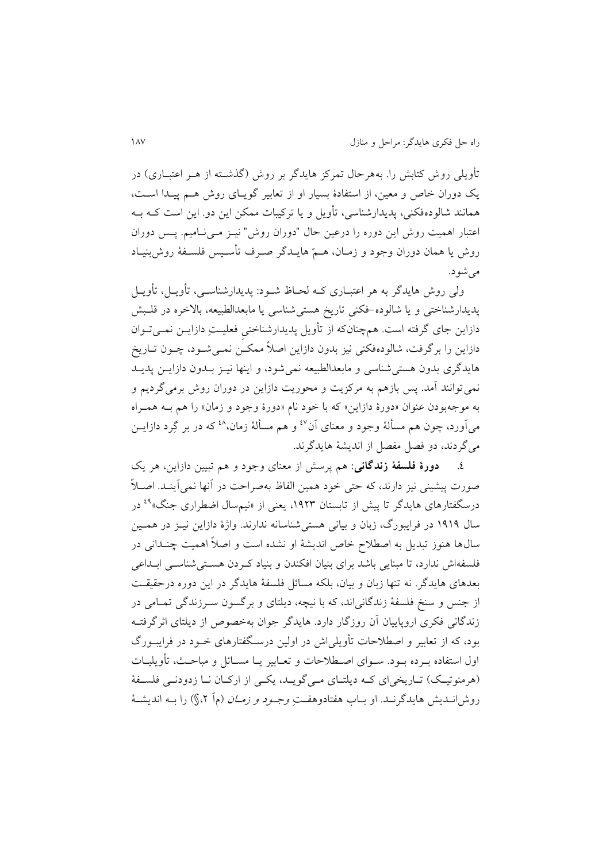تأويلي روش کتابش را. بههرحال تمرکز هايدگر بر روش (گذشــته از هــر اعتبــاری) در يک دوران خاص و معين، از استفادۀ بسيار او از تعابير گويـاى روش هـم پيـدا اسـت، همانند شالودهفکنی، پديدارشناسی، تأويل و يا ترکيبات ممکن اين دو. اين است کــه بــه اعتبار اهمیت روش این دوره را درعین حال "دوران روش" نیـز مـی نـامیم. پـس دوران روش يا همان دوران وجود و زمـان، هـمّ هايــدگر صــرف تأســيس فلســفۀ روش.بنيــاد می شو د.

ولی روش هايدگر به هر اعتبــاری کــه لحــاظ شــود: پديدارشناســی، تأويــل، تأويــل پديدارشناختی و يا شالوده-فکنی تاريخ هستی شناسی يا مابعدالطبيعه، بالاخره در قلـبش دازاين جای گرفته است. همچنانکه از تأويل پديدارشناختی فعليـتِ دازايــن نمــیتــوان دازاين را برگرفت، شالودهفکنی نيز بدون دازاين اصلاً ممکـن نمـیشـود، چــون تــاريخ هايدگری بدون هستی شناسی و مابعدالطبیعه نمی شود، و اينها نيـز بــدون دازايــن پديــد نمی توانند آمد. پس بازهم به مرکزيت و محوريت دازاين در دوران روش برمیگرديم و به موجهبودن عنوان »دورۀ دازاين« که با خود نام »دورۀ وجود و زمان« را هم باه هماراه میآورد، چون هم مسألۀ وجود و معنای آن<sup>87</sup> و هم مسألۀ زمان،<sup>28</sup> که در بر گِرد دازایــن میگردند، دو فصل مفصل از انديشۀ هايدگرند.

.0 **دورۀ فلسفۀ زندگانی**: هم پرس از معنای وجود و هم تبیین دازاين، هر يک صورت پیشینی نیز دارند، که حتی خود همین الفاظ بهصراحت در آنها نمیآینـد. اصـلاً درسگفتارهای هایدگر تا پیش از تابستان ۱۹۲۳، یعنی از «نیمسال اضطراری جنگ»<sup>۹</sup> در سال 0303 در فرايبورگ، زبان و بیانی هستیشناسانه ندارند. واژۀ دازاين نیاز در هماین سالها هنوز تبديل به اصطالح خاص انديشۀ او نشده است و اصالً اهمیت چنادانی در فلسفهاش ندارد، تا مبنایی باشد برای بنیان افکندن و بنیاد کهردن هستی شناسبی ابـداعی بعدهای هايدگر. نه تنها زبان و بیان، بلکه مسائل فلسفۀ هايدگر در اين دوره درحقیقات از جنس و سنخ فلسفۀ زندگانیاند، که با نیچه، ديلتای و برگسون سارزندگی تماامی در زندگانی فکری اروپايیان آن روزگار دارد. هايدگر جوان بهخصوص از ديلتای اثرگرفتاه بود، که از تعابير و اصطلاحات تأويلي|ش در اولين درسـگفتارهای خــود در فرايبــورگ اول استفاده بـرده بـود. سـوای اصـطلاحات و تعـابیر يـا مسـائل و مباحـث، تأويليـات (هرمنوتیک) تـاریخیای کـه دیلتـای مـی گویـد، يکـی از ارکـان نـا زدودنـی فلسـفۀ روش انــديش هايدگرنــد. او بــاب هفتادوهفــت *وجــود و زمــان* (مآ ۲،\$) را بــه انديشــهٔ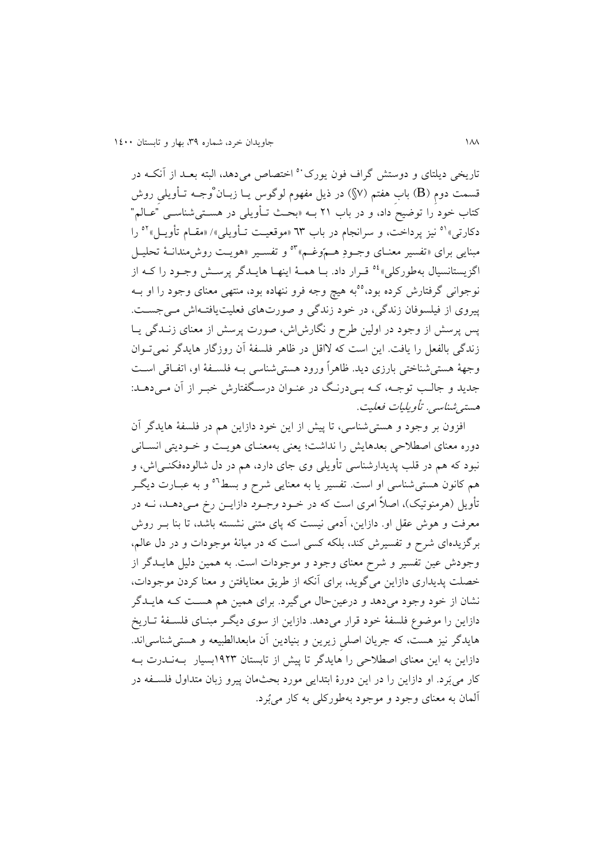تاريخي ديلتاي و دوستش گراف فون يورک<sup>۰۰</sup> اختصاص مي دهد، البته بعـد از آنکـه در قسمت دومِ (B) بابِ هفتمِ (۷§) در ذیل مفهوم لوگوس یــا زبــان ْوجــه تــأویلی روش کتاب خود را توضیح داد، و در باب ۲۱ بــه «بحـث تـأویلی در هســتیشناســی "عــالـم" دکارتی» <sup>۵۱</sup> نیز پرداخت، و سرانجام در باب ٦٣ «موقعیت تـأویلی»/ «مقـام تأویـل» <sup>٥٢</sup> را مبنايی برای «تفسیر معنـای وجـودِ هـمّوغـم»°° و تفسـير «هويـت روش مندانـهٔ تحليـل اگزيستانسيال بهطورکلي»° قـرار داد. بــا همــهٔ اينهــا هايــدگر پرســش وجــود را کــه از نوجوانی گرفتارش کرده بود،°°به هیچ وجه فرو ننهاده بود، منتهی معنای وجود را او بــه پیروی از فیلسوفان زندگی، در خود زندگی و صورتهای فعلیت یافتهاش می جست. پس پرسش از وجود در اولین طرح و نگارش|ش، صورت پرسش از معنای زنــدگی يــا زندگی بالفعل را يافت. اين است که لااقل در ظاهر فلسفۀ آن روزگار هايدگر نمیتوان وجهۀ هستیشناختی بارزی ديد. ظاهراً ورود هستیشناسی باه فلسافۀ او، اتفااقی اسات جديد و جالب توجـه، کـه بـيدرنـگ در عنـوان درسـگفتارش خبـر از آن مـيدهـد: هسته شناسی. تأویلیات فعلیت.

افزون بر وجود و هستی شناسی، تا پیش از اين خود دازاين هم در فلسفۀ هايدگر آن دوره معنای اصطلاحی بعدهايش را نداشت؛ يعنی بهمعنـای هويـت و خـوديتی انســانی نبود که هم در قلب پديدارشناسی تأويلی وی جای دارد، هم در دل شالودهفکنــی|ش، و هم کانون هستی شناسی او است. تفسیر یا به معنایی شرح و بسط<sup>٥٦</sup> و به عبــارت دیگــر تأويل (هرمنوتیک)، اصلاً امری است که در خــود *وجــود* دازايــن رخ مــی۵هــد، نــه در معرفت و هوش عقل او. دازاين، آدمی نيست که پای متنی نشسته باشد، تا بنا بـر روش برگزيدهای شرح و تفسیری کند، بلکه کسی است که در میانۀ موجودا و در دل عالم، وجودش عین تفسیر و شرح معنای وجود و موجودات است. به همین دلیل هایــدگر از خصلت پديداری دازاين میگويد، برای آنکه از طريق معنايافتن و معنا کردن موجودات، نشان از خود وجود میدهد و درعینحال میگیرد. برای همین هم هسات کاه هايادگر دازاين را موضوع فلسفۀ خود قرار میدهد. دازاين از سوی ديگـر مبنـای فلسـفۀ تــاريخ هايدگر نیز هست، که جريان اصلیِ زيرين و بنیادين آن مابعدالطبیعه و هستیشناسیاند. دازاين به اين معنای اصطلاحی را هايدگر تا پيش از تابستان ١٩٢٣بسيار بـهنـدرت بـه کار میبَرد. او دازاين را در اين دورۀ ابتدايی مورد بحثمان پيرو زبان متداول فلسـفه در آلمان به معنای وجود و موجود بهطورکلی به کار میبُرد.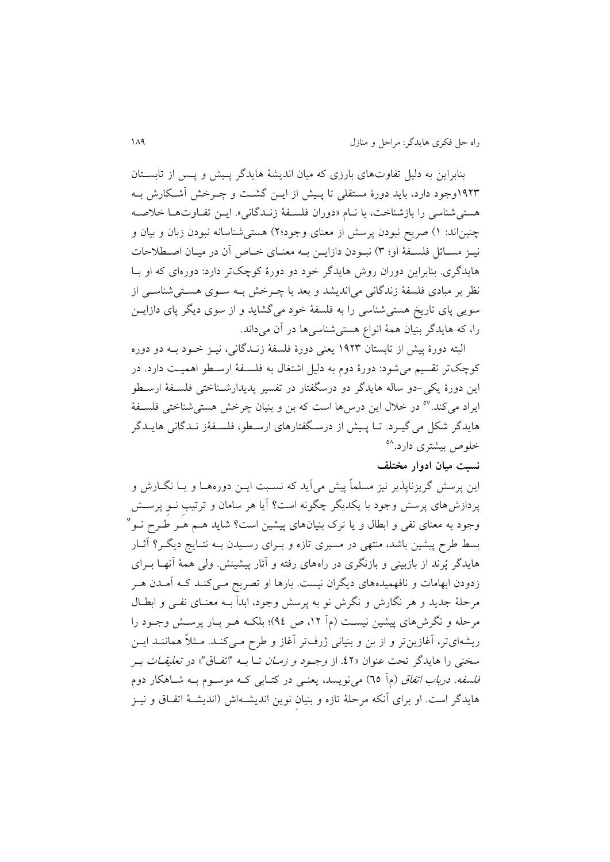بنابراين به دلیل تفاو های بارزی که میان انديشۀ هايدگر پای و پاس از تابساتان ١٩٢٣وجود دارد، بايد دورۀ مستقلی تا پـيش از ايــن گشــت و چــرخش آشـكارش بــه هستی شناسی را بازشناخت، با نـام «دوران فلسـفۀ زنـدگانی». ايــن تفــاوتهــا خلاصــه چنیناند: ۱) صریح نبودن پرسش از معنای وجود؟۲) هستیشناسانه نبودن زبان و بیان و نیـز مسـائل فلسـفۀ او؛ ٣) نبـودن دازايــن بــه معنــای خــاص آن در ميــان اصــطلاحات هايدگری. بنابراين دوران روی هايدگر خود دو دورۀ کوچکتر دارد: دورهای که او باا نظر بر مبادی فلسفۀ زندگانی میاندیشد و بعد با چــرخش بــه ســوی هســتیشناســی از سويی پای تاريخ هستی شناسی را به فلسفۀ خود می گشايد و از سوی ديگر پای دازايـن را، که هايدگر بنيان همۀ انواع هستی شناسی ها در آن میداند.

البته دورۀ پیش از تابستان ١٩٢٣ يعنی دورۀ فلسفۀ زنـدگانی، نيــز خــود بــه دو دوره کوچکتر تقسیم می شود: دورۀ دوم به دلیل اشتغال به فلسـفۀ ارسـطو اهمیـت دارد. در اين دورۀ يکی-دو ساله هايدگر دو درسگفتار در تفسیر پديدارشاناختی فلسافۀ ارساطو ایراد میکند.<sup>0۷</sup> در خلال این درس ها است که بن و بنیان چرخش هستیشناختی فلسـفۀ هايدگر شکل می گیـرد. تــا پــیش از درسـگفتارهای ارسـطو، فلســفۀز نــدگانی هايــدگر خلوص بیشتری دارد.<sup>۵۸</sup>

# **نسبت میان ادوار مختلف**

اين پرسش گريزناپذير نيز مسلماً پيش ميآيد که نسـبت ايــن دورههــا و يــا نگــارش و پردازش،های پرسش وجود با يکديگر چگونه است؟ آيا هر سامان و ترتيب نــو پرســش وجود به معنای نفی و ابطال و یا ترک بنیانهای پیشین است؟ شاید هــم هــر طــرح نــو° بسط طرح پیشین باشد، منتهی در مسیری تازه و بـرای رسـیدن بــه نتــایج دیگــر؟ آثــار هایدگر پُرند از بازبینی و بازنگری در راههای رفته و آثار پیشینش. ولی همۀ آنهـا بــرای زدودن ابهامات و نافهمیدههای دیگران نیست. بارها او تصریح مـیکنـد کـه آمـدن هـر مرحلۀ جديد و هر نگارش و نگرش نو به پرسش وجود، ابداَ بــه معنــای نفــی و ابطــال مرحله و نگرش های پیشین نیست (م آ ۱۲، ص ۹٤)؛ بلکـه هـر بـار پرسـش وجـود را ريشهایتر، آغازينتر و از بن و بنيانی ژرفتر آغاز و طرح مــیکنــد. مــثلاً هماننــد ايــن سخنی را هايدگر تحت عنوان «٤٢. از *وجـود و زمـان* تـا بــه "اتفـاق"» در *تعليقـات بـر* ف*لسفه. درباب اتفاق* (مآ ٦٥) میiویسد، یعنــی در کتــابی کــه موســوم بــه شــاهکار دوم هايدگر است. او برای آنکه مرحلۀ تازه و بنيان نوين انديشـهاش (انديشـۀ اتفـاق و نيـز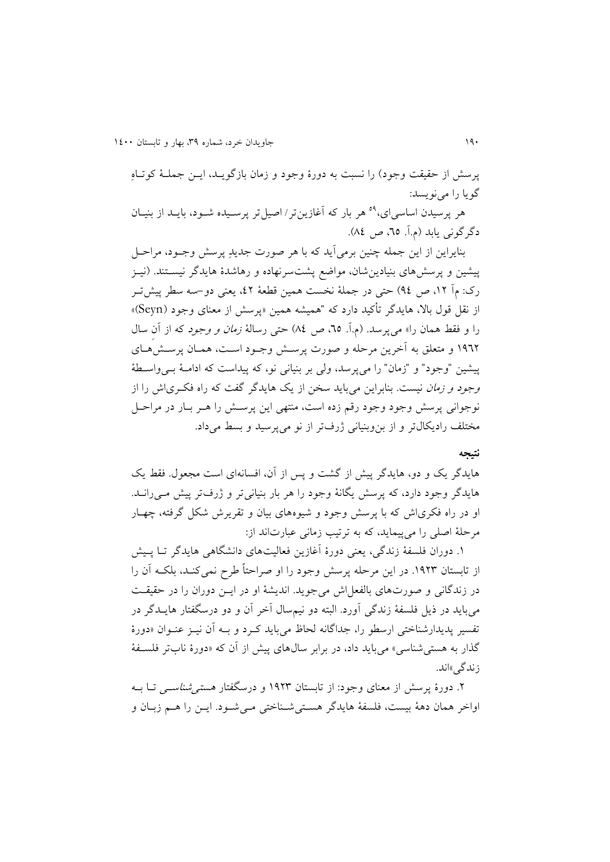پرسش از حقیقت وجود) را نسبت به دورۀ وجود و زمان بازگويـد، ايـن جملـۀ کوتـاه گويا را مینويسد:

هر برسیدن اساسی ای،<sup>۵۹</sup> هر بار که آغازین تر / اصیل تر پرسـیده شــود، بایــد از بنیــان دگر گونی يابد (م.آ. ٦٥، ص ٨٤).

بنايراين از اين جمله چنين برمي آيد که با هر صورت جديدِ پرسش وجـود، مراحـل پیشین و پرسشهای بنیادینِشان، مواضع پشتسرنهاده و رهاشدۀ هایدگر نیســتند. (نیــز رک: مآ ۱۲، ص ۹٤) حتی در جملۀ نخست همین قطعۀ ٤٢، يعنی دو–سه سطر پيشترر از نقل قول بالا، هايدگر تأکید دارد که "همیشه همین «پرسش از معنای وجود (Seyn)» را و فقط همان را» می پرسد. (م.آ. ٦٥، ص ٨٤) حتی رسالۀ *زمان و وجود* که از آن سال ١٩٦٢ و متعلق به آخرين مرحله و صورت پرسش وجـود اسـت، همـان پرسـشهـای پیشین "وجود" و "زمان" را میپرسد، ولی بر بنیانی نو، که پیداست که اداماۀ بای واساطۀ وجو*د و زمان* نیست. بنابراين میبايد سخن از يک هايدگر گفت که راه فک<sub>ر</sub>ی اش را از نوجوانی پرسش وجود وجود رقم زده است، منتهی اين پرسش را هـر بـار در مراحـل مختلف راديکال تر و از بن وبنيانی ژرفتر از نو می پرسيد و بسط می داد.

#### **نتیجه**

هايدگر يک و دو، هايدگر پيش از گشت و پس از آن، افسانهای است مجعول. فقط يک هايدگر وجود دارد، که پرسش يگانۀ وجود را هر بار بنياني تر و ژرفتر پيش مــي(انــد. او در راه فکری اش که با پرسش وجود و شیوههای بیان و تقریرش شکل گرفته، چهـار مرحلۀ اصلی را می پیمايد، که به ترتيب زمانی عبارتاند از:

۱. دوران فلسفۀ زندگی، يعنی دورۀ آغازين فعاليتهای دانشگاهی هايدگر تـا پـيش از تابستان ۱۹۲۳. در اين مرحله پرسش وجود را او صراحتاً طرح نمیکنـد، بلکـه آن را در زندگانی و صورتهای بالفعل اش میجوید. اندیشۀ او در ایــن دوران را در حقیقـت میبايد در ايل فلسفۀ زندگی آورد. البته دو نیمسال آخر آن و دو درسگفتار هايادگر در تفسیر پدیدارشناختی ارسطو را، جداگانه لحاظ می باید که د و بـه آن نیـز عنـوان «دورۀ گذار به هستی شناسی» می باید داد، در برابر سالهای پیش از آن که «دورۀ نابتر فلسـفۀ ز ندگی»اند.

۲. دورۀ پرسش از معنای وجود: از تابستان ۱۹۲۳ و درسگفتار *هستی شناسـی* تــا بــه اواخر همان دهۀ بيست، فلسفۀ هايدگر هستي شـناختی مـیشـود. ايـن را هـم زبـان و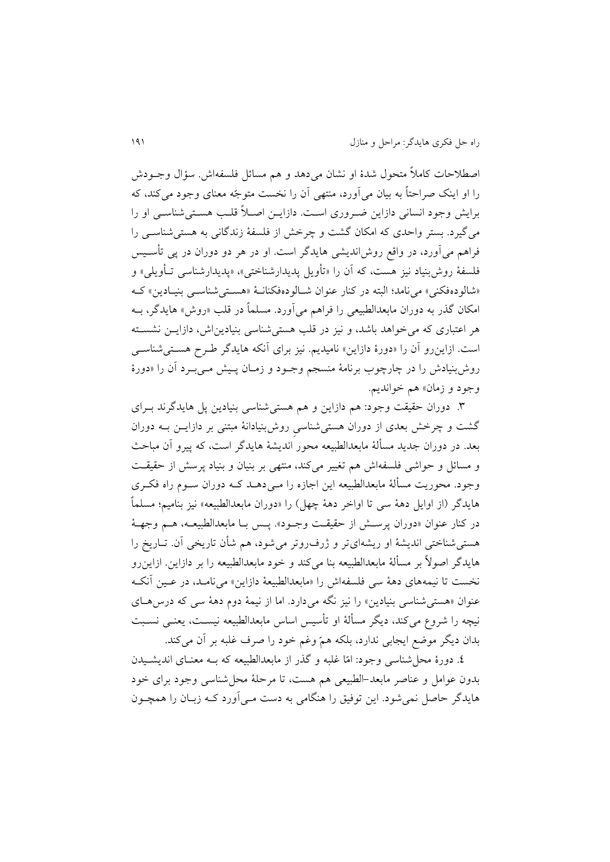اصطلاحات کاملاً متحول شدۀ او نشان می۵هد و هم مسائل فلسفهاش. سؤال وجـودش را او اينک صراحتاً به بیان میآورد، منتهی آن را نخست متوجّه معنای وجود میکند، که برايش وجود انسانی دازاين ضـروری اسـت. دازايــن اصــلاً قلــب هســتی شناســی او را میگیرد. بستر واحدی که امکان گشت و چرخش از فلسفۀ زندگانی به هستی شناسـی را فراهم میآورد، در واقب رویانديشی هايدگر است. او در هر دو دوران در پی تأسایس فلسفۀ روش بنیاد نیز هست، که آن را «تأویل پدیدارشناختی»، «پدیدارشناسی تـأویلی» و «شالودهفکنی» می نامد؛ البته در کنار عنوان شالودهفکنانـۀ «هسـتیشناسـی بنیـادین» کـه امکان گذر به دوران مابعدالطبیعی را فراهم میآورد. مسلماً در قلب »روی« هايدگر، باه هر اعتباری که میخواهد باشد، و نیز در قلب هستیشناسی بنیادينای، دازايان نشساته است. ازاينرو آن را «دورۀ دازاين» ناميديم. نيز برای آنکه هايدگر طـرح هسـتیشناسـی روش بنیادش را در چارچوب برنامۀ منسجم وجـود و زمـان پـیش مـی بـرد آن را «دورۀ وجود و زمان» هم خوانديم.

.9 دوران حقیقت وجود: هم دازاين و هم هستیشناسی بنیادين پل هايدگرند بارای گشت و چرخش بعدی از دوران هستی شناسی روش بنیادانۀ مبتنی بر دازایـن بـه دوران بعد. در دوران جديد مسألۀ مابعدالطبیعه محور انديشۀ هايدگر است، که پیرو آن مباح و مسائل و حواشی فلسفهاش هم تغییر میکند، منتهی بر بنیان و بنیاد پرسش از حقیقت وجود. محوريت مسألۀ مابعدالطبيعه اين اجازه را مـی۵هــد کــه دوران ســوم راه فکــری هايدگر از اوايل دهۀ سی تا اواخر دهۀ چهل( را »دوران مابعدالطبیعه« نیز بنامیم؛ مسلماً در کنار عنوان «دوران پرسش از حقیقت وجـود». پـس بـا مابعدالطبیعـه، هـم وجهـهٔ هستیشناختی انديشۀ او ريشهایتر و ژرفروتر میشود، هم شأن تاريخی آن. تااريخ را هايدگر اصولاً بر مسألۀ مابعدالطبیعه بنا میکند و خود مابعدالطبیعه را بر دازاين. ازاينرو نخست تا نیمههای دهۀ سی فلسفهای را »مابعدالطبیعۀ دازاين« میناماد، در عاین آنکاه عنوان «هستی شناسی بنیادین» را نیز نگه می دارد. اما از نیمۀ دوم دهۀ سی که درس هــای نیچه را شروع میکند، دیگر مسألۀ او تأسیس اساس مابعدالطبیعه نیسـت، یعنـی نسـبت بدان ديگر موضب ايجابی ندارد، بلکه همّ وغم خود را صرف غلبه بر آن میکند.

٤. دورۀ محل شناسی وجود: امّا غلبه و گذر از مابعدالطبیعه که بـه معنـای اندیشـیدن بدون عوامل و عناصر مابعد-الطبیعی هم هست، تا مرحلۀ محلشناسی وجود برای خود هايدگر حاصل نمی شود. اين توفيق را هنگامی به دست مـی|آورد کـه زبـان را همچــون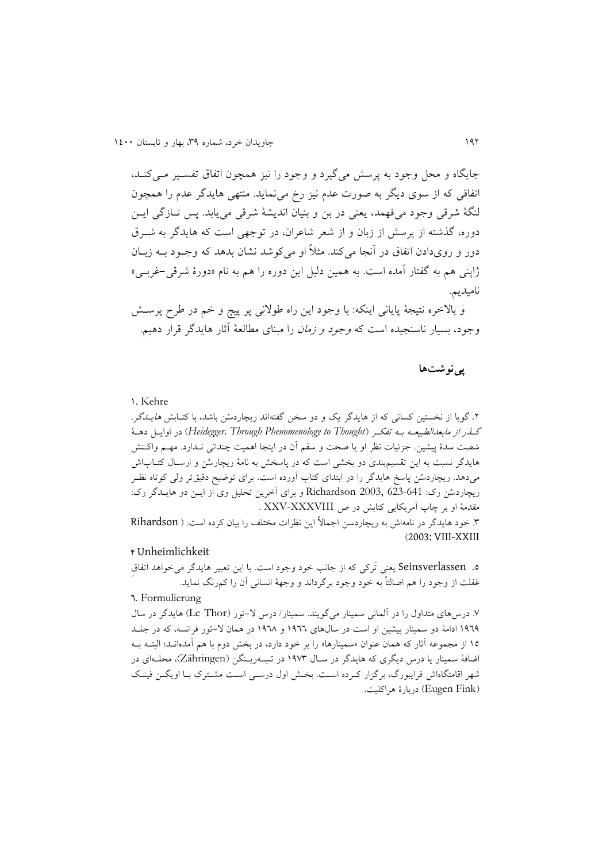جايگاه و محل وجود به پرسش میگیرد و وجود را نیز همچون اتفاق تفسیر مه کند. اتفاقی که از سوی ديگر به صورت عدم نيز رخ می نمايد. منتهی هايدگر عدم را همچون لنگۀ شرقی وجود میفهمد، يعنی در بن و بنیان انديشۀ شرقی میيابد. پس تاازگ ی ايان دوره، گذشته از پرسش از زبان و از شعر شاعران، در توجهی است که هايدگر به شـرق دور و رویدادن اتفاق در آنجا میکند. مثلاً او میکوشد نشان بدهد که وجـود بــه زبــان ژاپنی هم به گفتار آمده است. به همین دلیل اين دوره را هم به نام »دورۀ شرقی-غربای « نامیديم.

و بالاخره نتیجۀ پایانی اینکه: با وجود این راه طولانی پر پیچ و خم در طرح پرسـش وجود، بسیار ناسنجیده است که وجود و زمان را مبنای مطالعۀ آثار هايدگر قرار دهیم.

# **پینوشتها**

## 0. Kehre

۲. گويا از نخستين کسانی که از هايدگر يک و دو سخن گفتهاند ريچاردسُن باشد، با کتـابش *هايـدگر.* گاذر از مابعدالطبیعاه باه تفکار *Thought to Phenomenology Through .Heidegger* )در اوايال دهاۀ شصت سدۀ پیشین. جزئیات نظر او یا صحت و سقم آن در اینجا اهمیت چندانی نـدارد. مهـم واکـنش هايدگر نسبت به اين تقسيمبندی دو بخشی است که در پاسخش به نامۀ ريچارسُن و ارسـال کتــاباش میدهد. ریچاردسُن پاسخ هایدگر را در ابتدای کتاب آورده است. برای توضیح دقیقتر ولی کوتاه نظـر ريچاردسُن رک: 641-623 Richardson و برای آخرين تحليل وی از ايــن دو هايــدگر رک: مقدمۀ او بر چاپ آمريکايی کتابش در ص XXV-XXXVIII . .9 خود هايدگر در نامهای به ريچاردسن اجما ً اين نررا مختلف را بیان کرده است. Rihardson )2003: VIII-XXIII

### 1 Unheimlichkeit

.5 Seinsverlassen يعنی تَرکی که از جانب خود وجود است. با اين تعبیر هايدگر میخواهد اتفاقِ غفلت از وجود را هم اصالتاً به خود وجود برگرداند و وجهۀ انسانی آن را کمرنگ نمايد.

# 9. Formulierung

.7 در های متداول را در آلمانی سمینار میگويند. سمینار/ در -تور Thor Le )هايدگر در سال 0393 ادامۀ دو سمینار پیشین او است در سالهای 0399 و 0398 در همان -تور فرانسه، که در جلاد 10 از مجموعه آثار که همان عنوان «سمینارها» را بر خود دارد، در بخش دوم با هم آمدهانـد؛ البتــه بــه اضافۀ سمینار يا درس ديگری که هايدگر در سـال ١٩٧٣ در تسِــهريـنگن (Zähringen)، محلــهای در شهر اقامتگاهاش فرايبورگ، برگزار كـرده اسـت. بخـش اول درسـی اسـت مشـترک بـا اويگــن فينـک Fink Eugen )دربارۀ هراکلیت.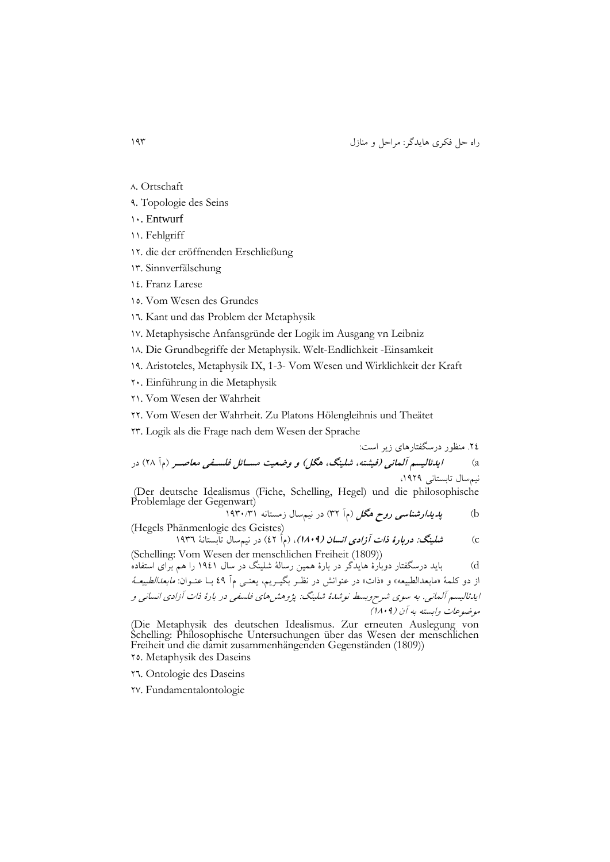راه حل فکری هايدگر: مراحل و منازل 039

- 
- 8. Ortschaft
- 3. Topologie des Seins
- 01. Entwurf
- 00. Fehlgriff
- 01. die der eröffnenden Erschließung
- 09. Sinnverfälschung
- 00. Franz Larese
- 05. Vom Wesen des Grundes
- 09. Kant und das Problem der Metaphysik
- 07. Metaphysische Anfansgründe der Logik im Ausgang vn Leibniz
- 08. Die Grundbegriffe der Metaphysik. Welt-Endlichkeit -Einsamkeit
- 03. Aristoteles, Metaphysik IX, 1-3- Vom Wesen und Wirklichkeit der Kraft
- 11. Einführung in die Metaphysik
- 10. Vom Wesen der Wahrheit
- 11. Vom Wesen der Wahrheit. Zu Platons Hölengleihnis und Theätet
- 19. Logik als die Frage nach dem Wesen der Sprache

.10 منرور درسگفتارهای زير است: a )**ایدئالیسم آلمانی )فیشته، شلینگ، هگل( و وضعیت مسدائل فلسدفی معاصدر** مآ 18( در نیمسال تابستانی ،0313

(Der deutsche Idealismus (Fiche, Schelling, Hegel) und die philosophische Problemlage der Gegenwart)

b )**پدیدارشناسی روح هگل** مآ 91( در نیمسال زمستانه 0391/90

(Hegels Phänmenlogie des Geistes) c )**شلینگ: دربارۀ ذات آزادی انسان )0013(**، مآ 01( در نیمسال تابستانۀ 0399

(Schelling: Vom Wesen der menschlichen Freiheit (1809)) d )بايد درسگفتار دوبارۀ هايدگر در بارۀ همین رسالۀ شلینگ در سال 0300 را هم برای استفاده از دو کلمۀ »مابعدالطبیعه« و »اا « در عنوان در نرار بگیاريم، يعنای مآ 03 باا عناوان: مابعدالطبیعاۀ ايدئالیسم آلمانی. به سوی شرحوبس نوشدۀ شلینگ: پژوه های فلسفی در بارۀ اا آزادی انسانی و موضوعا وابسته به آن 0813(

(Die Metaphysik des deutschen Idealismus. Zur erneuten Auslegung von Schelling: Philosophische Untersuchungen über das Wesen der menschlichen Freiheit und die damit zusammenhängenden Gegenständen (1809)) 15. Metaphysik des Daseins

- 19. Ontologie des Daseins
- 17. Fundamentalontologie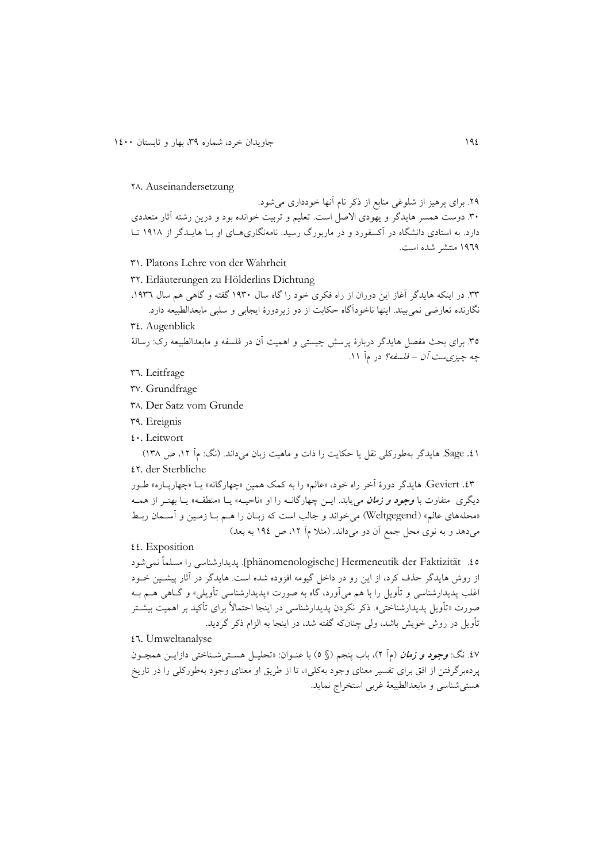#### 18. Auseinandersetzung

۲۹. برای پرهیز از شلوغی منابع از ذکر نام آنها خودداری می شود. ۳۰. دوست همسر هايدگر و يهودی الاصل است. تعليم و تربيت خوانده بود و درين رشته آثار متعددی دارد. به استادی دانشگاه در آکسفورد و در ماربورگ رسید. نامهنگاریههای او بـا هایـدگر از ۱۹۱۸ تـا 0393 منتشر شده است.

- 90. Platons Lehre von der Wahrheit
- 91. Erläuterungen zu Hölderlins Dichtung
- .99 در اينکه هايدگر آغاز اين دوران از راه فکری خود را گاه سال 0391 گفته و گاهی هم سال ،0399 نگارنده تعارضی نمیبیند. اينها ناخودآگاه حکابت از دو زيردورۀ ايجابی و سلبی مابعدالطبیعه دارد.  $\mathbf{r}$ . Augenblick

٣٥. برای بحث مفصل هايدگر دربارۀ پرسش چيستی و اهميت آن در فلسفه و مابعدالطبيعه رک: رسالۀ چ*ه چیزی ست آن – فلسفه؟* در مآ ۱۱.

99. Leitfrage

97. Grundfrage

98. Der Satz vom Grunde

- 93. Ereignis
- 01. Leitwort

51. Sage. هايدگر بهطورکلی نقل يا حکايت را ذات و ماهيت زبان میداند. (نگ: مآ ١٢، ص ١٣٨) 01. der Sterbliche

.09 Geviert. هايدگر دورۀ آخر راه خود، »عالم« را به کمک همین »چهارگانه« ياا »چهارپااره « طاور ديگری متفاوت با **وجود** *و زمان* می يابد. ايـن چهارگانـه را او «ناحيـه» يـا «منطقـه» يـا بهتـر از همـه »محلههای عالم« Weltgegend )میخواند و جالب است که زباان را هام باا زماین و آسامان ربا میدهد و به نوی محل جمع آن دو میداند. (مثلا مآ ۱۲، ص ۱۹٤ به بعد)

 $\mathfrak{t}\mathfrak{t}$ . Exposition

.05 Faktizität der Hermeneutik[ phänomenologische]. پديدارشناسی را مسلماً نمیشود از روش هايدگر حذف کرد، از اين رو در داخل گيومه افزوده شده است. هايدگر در آثار پيشـين خــود اغلب پديدارشناسی و تأويل را با هم میآورد، گاه به صورت «پديدارشناسی تأويلی» و گــاهی هــم بــه صورت «تأويل پديدارشناختی». ذکر نکردن پديدارشناسی در اينجا احتمالاً برای تأکید بر اهمیت بیشــتر تأويل در روش خويش باشد، ولي چنانکه گفته شد، در اينجا به الزام ذکر گرديد.

### 09. Umweltanalyse

.07 نگ: **وجود و زمان** مآ 1(، باب پنجم § 5( با عناوان: »تحلیال هساتی شاناختی دازايان همچاون پردهبرگرفتن از افق برای تفسیر معنای وجود بهکلی«، تا از طريق او معنای وجود بهطورکلی را در تاريخ هستیشناسی و مابعدالطبیعۀ غربی استخراج نمايد.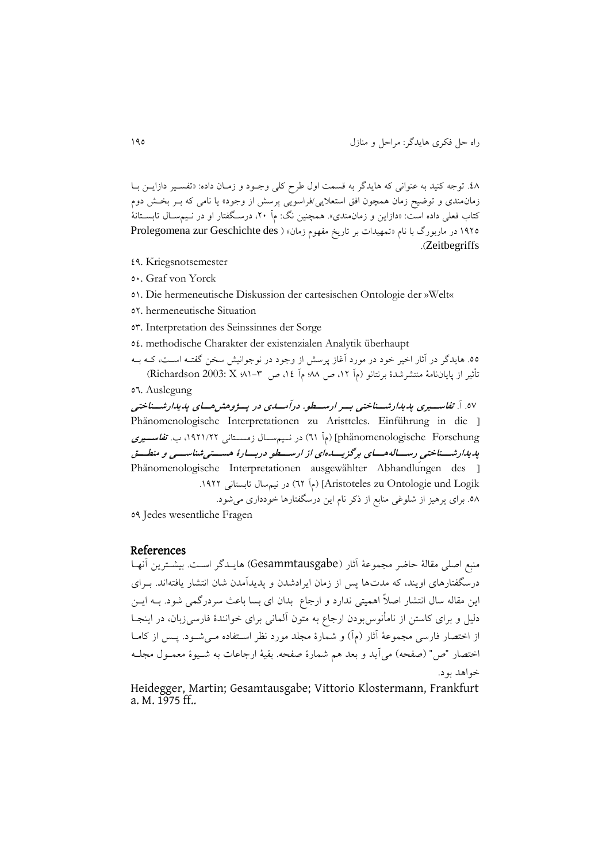.08 توجه کنید به عنوانی که هايدگر به قسمت اول طرح کلی وجاود و زماان داده: »تفسایر دازايان باا زمان مندی و توضیح زمان همچون افق استعلایی/فراسویی پرسش از وجود» یا نامی که بـر بخـش دوم کتاب فعلی داده است: «دازاين و زمان0مندی». همچنين نگ: مآ ۲۰، درسـگفتار او در نـيمســال تابســتانۀ 1910 در ماربورگ با نام «تمهيدات بر تاريخ مفهوم زمان» ( Prolegomena zur Geschichte des .)Zeitbegriffs

- 03. Kriegsnotsemester
- 51. Graf von Yorck
- 50. Die hermeneutische Diskussion der cartesischen Ontologie der »Welt«
- 51. hermeneutische Situation
- 59. Interpretation des Seinssinnes der Sorge
- 50. methodische Charakter der existenzialen Analytik überhaupt
- 00. هايدگر در آثار اخير خود در مورد آغاز پرسش از وجود در نوجوانيش سخن گفتـه اسـت، کــه بــه تأثیر از پاياننامۀ منتشرشدۀ برنتانو مآ ،01 ص 88؛ مآ ،00 ص 80-9؛ X 2003: Richardson)

07. Auslegung

.57 آ. **تفاسددیری پدیدارشددناختی بددر ارسدددو. درآمدددی در پددژوهش هددای پدیدارشددناختی**  Phänomenologische Interpretationen zu Aristteles. Einführung in die ] phänomenologische Forschung) (مآ ۹۱) در نـیمسـال زمسـتانی ۱۹۲۱/۲۲، ب. ت*فاســیری* پ*دیدار شسناختی رسساله هسای ب*رگزیس*دهای از ارسسطو دربسارۀ هسستی شناسسی و منطسق* Phänomenologische Interpretationen ausgewählter Abhandlungen des [ Aristoteles zu Ontologie und Logik) (مآلة التابستانی ١٩٢٢. 0۸. برای پرهیز از شلوغی منابع از ذکر نام این درسگفتارها خودداری می شود.

53 Jedes wesentliche Fragen

## References

منبب اصلی مقالۀ حاضر مجموعۀ آثار Gesammtausgabe )هايادگر اسات. بیشاترين آنهاا درسگفتارهای اويند، که مدتها پس از زمان ايرادشدن و پديدآمدن شان انتشار يافتهاند. بـرای اين مقاله سال انتشار اصلاً اهميتی ندارد و ارجاع بدان ای بسا باعث سردرگمی شود. بــه ايــن دلیل و برای کاستن از نامأنوس بودن ارجاع به متون آلمانی برای خوانندۀ فارسیزبان، در اینجــا از اختصار فارسی مجموعۀ آثار (مآ) و شمارۀ مجلد مورد نظر اسـتفاده مـی شـود. پـس از کامـا اختصار "ص" (صفحه) می آيد و بعد هم شمارۀ صفحه. بقيۀ ارجاعات به شـيوۀ معمـول مجلـه خواهد بود.

Heidegger, Martin; Gesamtausgabe; Vittorio Klostermann, Frankfurt a. M. 1975 ff..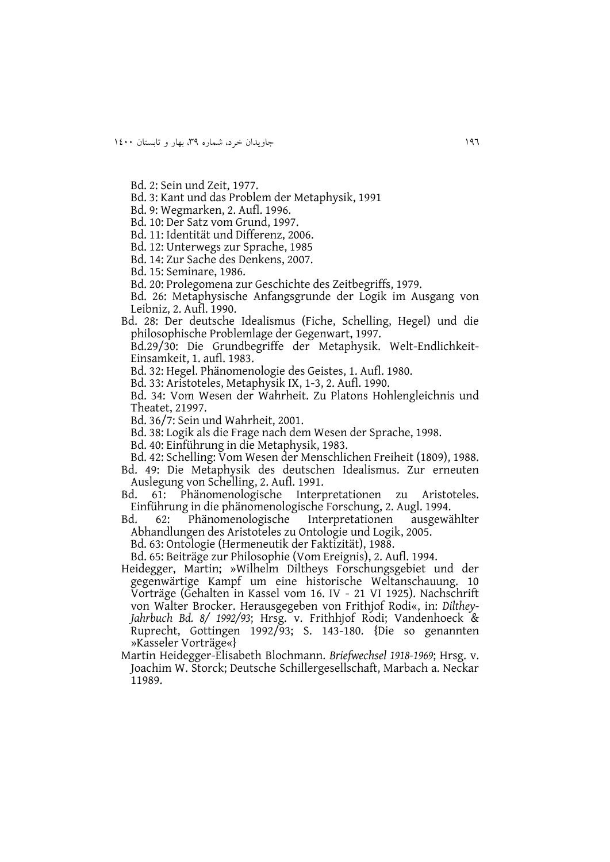Bd. 2: Sein und Zeit, 1977.

- Bd. 3: Kant und das Problem der Metaphysik, 1991
- Bd. 9: Wegmarken, 2. Aufl. 1996.
- Bd. 10: Der Satz vom Grund, 1997.
- Bd. 11: Identität und Differenz, 2006.
- Bd. 12: Unterwegs zur Sprache, 1985
- Bd. 14: Zur Sache des Denkens, 2007.
- Bd. 15: Seminare, 1986.
- Bd. 20: Prolegomena zur Geschichte des Zeitbegriffs, 1979.
- Bd. 26: Metaphysische Anfangsgrunde der Logik im Ausgang von Leibniz, 2. Aufl. 1990.
- Bd. 28: Der deutsche Idealismus (Fiche, Schelling, Hegel) und die philosophische Problemlage der Gegenwart, 1997.
	- Bd.29/30: Die Grundbegriffe der Metaphysik. Welt-Endlichkeit-Einsamkeit, 1. aufl. 1983.
	- Bd. 32: Hegel. Phänomenologie des Geistes, 1. Aufl. 1980.
	- Bd. 33: Aristoteles, Metaphysik IX, 1-3, 2. Aufl. 1990.
	- Bd. 34: Vom Wesen der Wahrheit. Zu Platons Hohlengleichnis und Theatet, 21997.
	- Bd. 36/7: Sein und Wahrheit, 2001.
	- Bd. 38: Logik als die Frage nach dem Wesen der Sprache, 1998.
	- Bd. 40: Einführung in die Metaphysik, 1983.
	- Bd. 42: Schelling: Vom Wesen der Menschlichen Freiheit (1809), 1988.
- Bd. 49: Die Metaphysik des deutschen Idealismus. Zur erneuten Auslegung von Schelling, 2. Aufl. 1991.
- Bd. 61: Phänomenologische Interpretationen zu Aristoteles. Einführung in die phänomenologische Forschung, 2. Augl. 1994.
- Bd. 62: Phänomenologische Interpretationen ausgewählter Abhandlungen des Aristoteles zu Ontologie und Logik, 2005.
	- Bd. 63: Ontologie (Hermeneutik der Faktizität), 1988.
	- Bd. 65: Beiträge zur Philosophie (Vom Ereignis), 2. Aufl. 1994.
- Heidegger, Martin; »Wilhelm Diltheys Forschungsgebiet und der gegenwärtige Kampf um eine historische Weltanschauung. 10 Vorträge (Gehalten in Kassel vom 16. IV - 21 VI 1925). Nachschrift von Walter Brocker. Herausgegeben von Frithjof Rodi«, in: *Dilthey-Jahrbuch Bd. 8/ 1992/93*; Hrsg. v. Frithhjof Rodi; Vandenhoeck & Ruprecht, Gottingen 1992/93; S. 143-180. {Die so genannten »Kasseler Vorträge«}
- Martin Heidegger-Elisabeth Blochmann. *Briefwechsel 1918-1969*; Hrsg. v. Joachim W. Storck; Deutsche Schillergesellschaft, Marbach a. Neckar 11989.